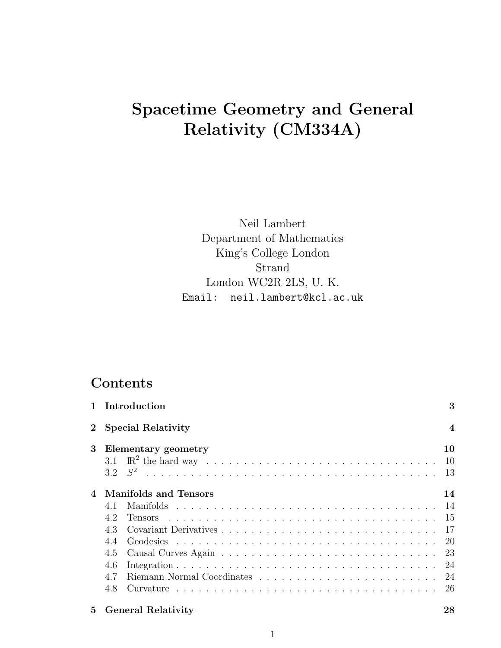# Spacetime Geometry and General Relativity (CM334A)

Neil Lambert Department of Mathematics King's College London Strand London WC2R 2LS, U. K. Email: neil.lambert@kcl.ac.uk

## Contents

|                                           | 1 Introduction                                                                      | 3                                          |  |
|-------------------------------------------|-------------------------------------------------------------------------------------|--------------------------------------------|--|
| <b>Special Relativity</b><br>$\mathbf{2}$ |                                                                                     |                                            |  |
| 3                                         | Elementary geometry                                                                 | 10<br>10<br>- 13                           |  |
|                                           | <b>Manifolds and Tensors</b><br>4.1<br>4.2<br>43<br>4.4<br>4.5<br>4.6<br>4.7<br>4.8 | 14<br>-15<br>-17<br>-20<br>-23<br>24<br>26 |  |
| 5                                         | <b>General Relativity</b>                                                           | 28                                         |  |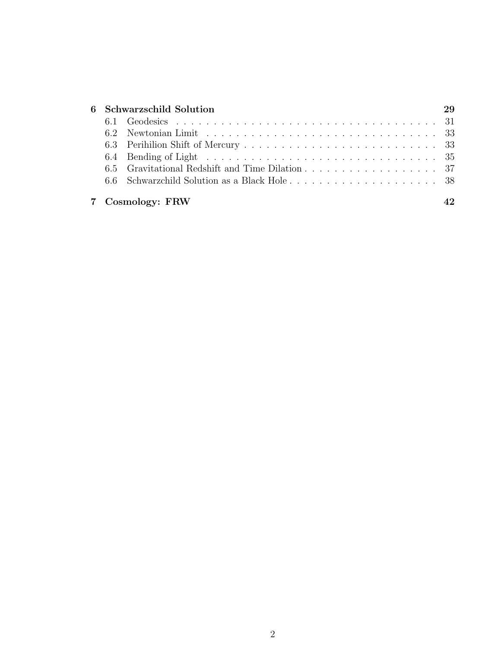| 6 Schwarzschild Solution |                  |  |  |
|--------------------------|------------------|--|--|
|                          |                  |  |  |
|                          |                  |  |  |
|                          |                  |  |  |
|                          |                  |  |  |
|                          |                  |  |  |
|                          |                  |  |  |
|                          | 7 Cosmology: FRW |  |  |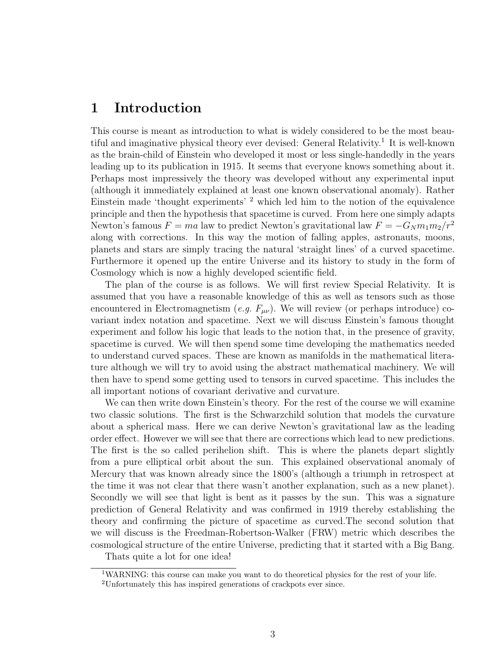### 1 Introduction

This course is meant as introduction to what is widely considered to be the most beautiful and imaginative physical theory ever devised: General Relativity.<sup>1</sup> It is well-known as the brain-child of Einstein who developed it most or less single-handedly in the years leading up to its publication in 1915. It seems that everyone knows something about it. Perhaps most impressively the theory was developed without any experimental input (although it immediately explained at least one known observational anomaly). Rather Einstein made 'thought experiments' <sup>2</sup> which led him to the notion of the equivalence principle and then the hypothesis that spacetime is curved. From here one simply adapts Newton's famous  $F = ma$  law to predict Newton's gravitational law  $F = -G_Nm_1m_2/r^2$ along with corrections. In this way the motion of falling apples, astronauts, moons, planets and stars are simply tracing the natural 'straight lines' of a curved spacetime. Furthermore it opened up the entire Universe and its history to study in the form of Cosmology which is now a highly developed scientific field.

The plan of the course is as follows. We will first review Special Relativity. It is assumed that you have a reasonable knowledge of this as well as tensors such as those encountered in Electromagnetism (*e.g.*  $F_{\mu\nu}$ ). We will review (or perhaps introduce) covariant index notation and spacetime. Next we will discuss Einstein's famous thought experiment and follow his logic that leads to the notion that, in the presence of gravity, spacetime is curved. We will then spend some time developing the mathematics needed to understand curved spaces. These are known as manifolds in the mathematical literature although we will try to avoid using the abstract mathematical machinery. We will then have to spend some getting used to tensors in curved spacetime. This includes the all important notions of covariant derivative and curvature.

We can then write down Einstein's theory. For the rest of the course we will examine two classic solutions. The first is the Schwarzchild solution that models the curvature about a spherical mass. Here we can derive Newton's gravitational law as the leading order effect. However we will see that there are corrections which lead to new predictions. The first is the so called perihelion shift. This is where the planets depart slightly from a pure elliptical orbit about the sun. This explained observational anomaly of Mercury that was known already since the 1800's (although a triumph in retrospect at the time it was not clear that there wasn't another explanation, such as a new planet). Secondly we will see that light is bent as it passes by the sun. This was a signature prediction of General Relativity and was confirmed in 1919 thereby establishing the theory and confirming the picture of spacetime as curved.The second solution that we will discuss is the Freedman-Robertson-Walker (FRW) metric which describes the cosmological structure of the entire Universe, predicting that it started with a Big Bang.

Thats quite a lot for one idea!

<sup>&</sup>lt;sup>1</sup>WARNING: this course can make you want to do theoretical physics for the rest of your life.

<sup>2</sup>Unfortunately this has inspired generations of crackpots ever since.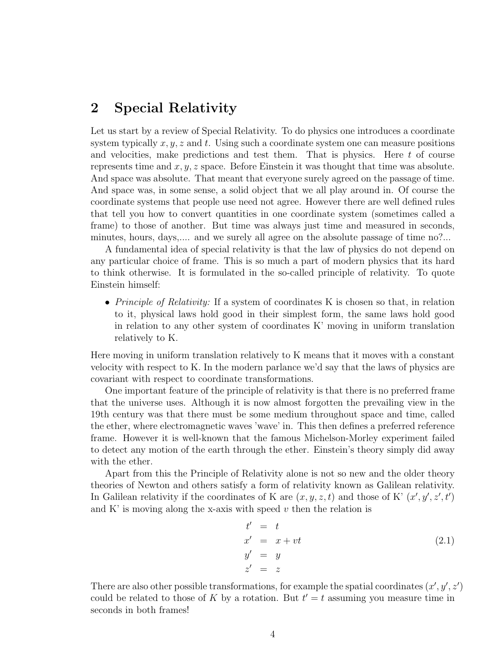### 2 Special Relativity

Let us start by a review of Special Relativity. To do physics one introduces a coordinate system typically  $x, y, z$  and t. Using such a coordinate system one can measure positions and velocities, make predictions and test them. That is physics. Here  $t$  of course represents time and  $x, y, z$  space. Before Einstein it was thought that time was absolute. And space was absolute. That meant that everyone surely agreed on the passage of time. And space was, in some sense, a solid object that we all play around in. Of course the coordinate systems that people use need not agree. However there are well defined rules that tell you how to convert quantities in one coordinate system (sometimes called a frame) to those of another. But time was always just time and measured in seconds, minutes, hours, days,.... and we surely all agree on the absolute passage of time no?...

A fundamental idea of special relativity is that the law of physics do not depend on any particular choice of frame. This is so much a part of modern physics that its hard to think otherwise. It is formulated in the so-called principle of relativity. To quote Einstein himself:

• *Principle of Relativity:* If a system of coordinates K is chosen so that, in relation to it, physical laws hold good in their simplest form, the same laws hold good in relation to any other system of coordinates K' moving in uniform translation relatively to K.

Here moving in uniform translation relatively to K means that it moves with a constant velocity with respect to K. In the modern parlance we'd say that the laws of physics are covariant with respect to coordinate transformations.

One important feature of the principle of relativity is that there is no preferred frame that the universe uses. Although it is now almost forgotten the prevailing view in the 19th century was that there must be some medium throughout space and time, called the ether, where electromagnetic waves 'wave' in. This then defines a preferred reference frame. However it is well-known that the famous Michelson-Morley experiment failed to detect any motion of the earth through the ether. Einstein's theory simply did away with the ether.

Apart from this the Principle of Relativity alone is not so new and the older theory theories of Newton and others satisfy a form of relativity known as Galilean relativity. In Galilean relativity if the coordinates of K are  $(x, y, z, t)$  and those of K'  $(x', y', z', t')$ and K' is moving along the x-axis with speed  $v$  then the relation is

$$
t' = t
$$
  
\n
$$
x' = x + vt
$$
  
\n
$$
y' = y
$$
  
\n
$$
z' = z
$$
\n(2.1)

There are also other possible transformations, for example the spatial coordinates  $(x', y', z')$ could be related to those of K by a rotation. But  $t' = t$  assuming you measure time in seconds in both frames!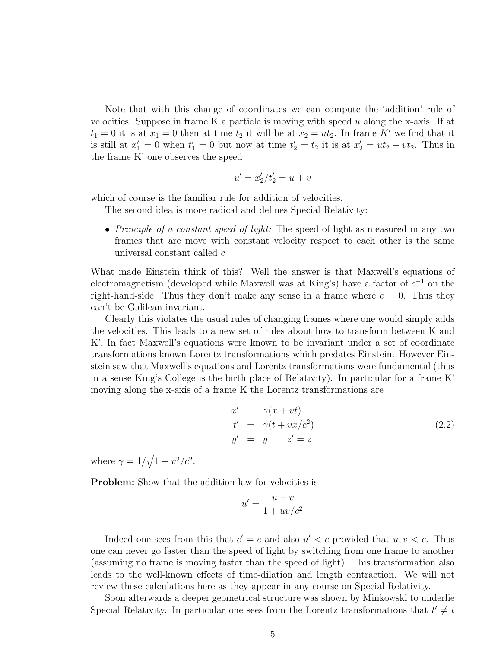Note that with this change of coordinates we can compute the 'addition' rule of velocities. Suppose in frame K a particle is moving with speed  $u$  along the x-axis. If at  $t_1 = 0$  it is at  $x_1 = 0$  then at time  $t_2$  it will be at  $x_2 = ut_2$ . In frame K' we find that it is still at  $x_1' = 0$  when  $t_1' = 0$  but now at time  $t_2' = t_2$  it is at  $x_2' = ut_2 + vt_2$ . Thus in the frame K' one observes the speed

$$
u^{\prime}=x_2^{\prime}/t_2^{\prime}=u+v
$$

which of course is the familiar rule for addition of velocities.

The second idea is more radical and defines Special Relativity:

• Principle of a constant speed of light: The speed of light as measured in any two frames that are move with constant velocity respect to each other is the same universal constant called c

What made Einstein think of this? Well the answer is that Maxwell's equations of electromagnetism (developed while Maxwell was at King's) have a factor of  $c^{-1}$  on the right-hand-side. Thus they don't make any sense in a frame where  $c = 0$ . Thus they can't be Galilean invariant.

Clearly this violates the usual rules of changing frames where one would simply adds the velocities. This leads to a new set of rules about how to transform between K and K'. In fact Maxwell's equations were known to be invariant under a set of coordinate transformations known Lorentz transformations which predates Einstein. However Einstein saw that Maxwell's equations and Lorentz transformations were fundamental (thus in a sense King's College is the birth place of Relativity). In particular for a frame K' moving along the x-axis of a frame K the Lorentz transformations are

$$
x' = \gamma(x + vt)
$$
  
\n
$$
t' = \gamma(t + vx/c^2)
$$
  
\n
$$
y' = y \qquad z' = z
$$
\n(2.2)

where  $\gamma = 1/\sqrt{1 - v^2/c^2}$ .

Problem: Show that the addition law for velocities is

$$
u' = \frac{u+v}{1+uv/c^2}
$$

Indeed one sees from this that  $c' = c$  and also  $u' < c$  provided that  $u, v < c$ . Thus one can never go faster than the speed of light by switching from one frame to another (assuming no frame is moving faster than the speed of light). This transformation also leads to the well-known effects of time-dilation and length contraction. We will not review these calculations here as they appear in any course on Special Relativity.

Soon afterwards a deeper geometrical structure was shown by Minkowski to underlie Special Relativity. In particular one sees from the Lorentz transformations that  $t' \neq t$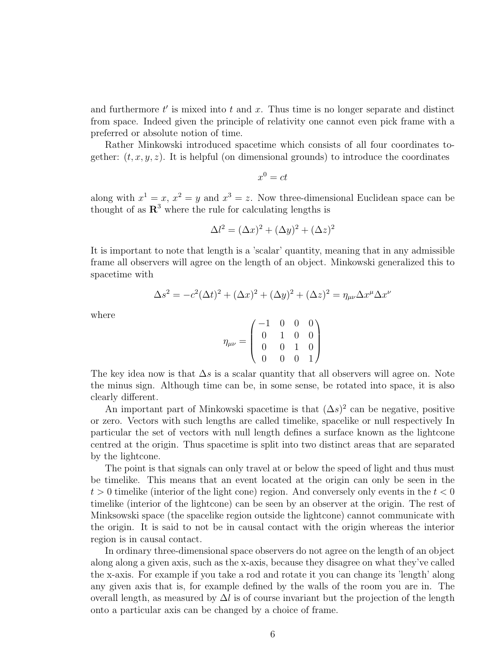and furthermore  $t'$  is mixed into  $t$  and  $x$ . Thus time is no longer separate and distinct from space. Indeed given the principle of relativity one cannot even pick frame with a preferred or absolute notion of time.

Rather Minkowski introduced spacetime which consists of all four coordinates together:  $(t, x, y, z)$ . It is helpful (on dimensional grounds) to introduce the coordinates

$$
x^0 = ct
$$

along with  $x^1 = x$ ,  $x^2 = y$  and  $x^3 = z$ . Now three-dimensional Euclidean space can be thought of as  $\mathbb{R}^3$  where the rule for calculating lengths is

$$
\Delta l^2 = (\Delta x)^2 + (\Delta y)^2 + (\Delta z)^2
$$

It is important to note that length is a 'scalar' quantity, meaning that in any admissible frame all observers will agree on the length of an object. Minkowski generalized this to spacetime with

$$
\Delta s^2 = -c^2(\Delta t)^2 + (\Delta x)^2 + (\Delta y)^2 + (\Delta z)^2 = \eta_{\mu\nu} \Delta x^{\mu} \Delta x^{\nu}
$$

where

$$
\eta_{\mu\nu} = \begin{pmatrix} -1 & 0 & 0 & 0 \\ 0 & 1 & 0 & 0 \\ 0 & 0 & 1 & 0 \\ 0 & 0 & 0 & 1 \end{pmatrix}
$$

The key idea now is that  $\Delta s$  is a scalar quantity that all observers will agree on. Note the minus sign. Although time can be, in some sense, be rotated into space, it is also clearly different.

An important part of Minkowski spacetime is that  $(\Delta s)^2$  can be negative, positive or zero. Vectors with such lengths are called timelike, spacelike or null respectively In particular the set of vectors with null length defines a surface known as the lightcone centred at the origin. Thus spacetime is split into two distinct areas that are separated by the lightcone.

The point is that signals can only travel at or below the speed of light and thus must be timelike. This means that an event located at the origin can only be seen in the  $t > 0$  timelike (interior of the light cone) region. And conversely only events in the  $t < 0$ timelike (interior of the lightcone) can be seen by an observer at the origin. The rest of Minksowski space (the spacelike region outside the lightcone) cannot communicate with the origin. It is said to not be in causal contact with the origin whereas the interior region is in causal contact.

In ordinary three-dimensional space observers do not agree on the length of an object along along a given axis, such as the x-axis, because they disagree on what they've called the x-axis. For example if you take a rod and rotate it you can change its 'length' along any given axis that is, for example defined by the walls of the room you are in. The overall length, as measured by  $\Delta l$  is of course invariant but the projection of the length onto a particular axis can be changed by a choice of frame.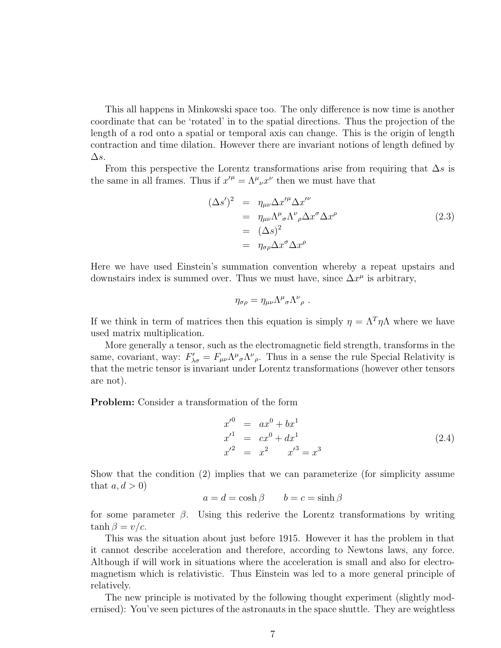This all happens in Minkowski space too. The only difference is now time is another coordinate that can be 'rotated' in to the spatial directions. Thus the projection of the length of a rod onto a spatial or temporal axis can change. This is the origin of length contraction and time dilation. However there are invariant notions of length defined by  $\Delta s$ .

From this perspective the Lorentz transformations arise from requiring that  $\Delta s$  is the same in all frames. Thus if  $x^{\prime \mu} = \Lambda^{\mu}{}_{\nu} x^{\nu}$  then we must have that

$$
(\Delta s')^2 = \eta_{\mu\nu} \Delta x'^{\mu} \Delta x'^{\nu}
$$
  
=  $\eta_{\mu\nu} \Lambda^{\mu}{}_{\sigma} \Lambda^{\nu}{}_{\rho} \Delta x^{\sigma} \Delta x^{\rho}$   
=  $(\Delta s)^2$   
=  $\eta_{\sigma\rho} \Delta x^{\sigma} \Delta x^{\rho}$  (2.3)

Here we have used Einstein's summation convention whereby a repeat upstairs and downstairs index is summed over. Thus we must have, since  $\Delta x^{\mu}$  is arbitrary,

$$
\eta_{\sigma\rho} = \eta_{\mu\nu} \Lambda^{\mu}{}_{\sigma} \Lambda^{\nu}{}_{\rho} .
$$

If we think in term of matrices then this equation is simply  $\eta = \Lambda^T \eta \Lambda$  where we have used matrix multiplication.

More generally a tensor, such as the electromagnetic field strength, transforms in the same, covariant, way:  $F'_{\lambda\sigma} = F_{\mu\nu} \Lambda^{\mu}{}_{\sigma} \Lambda^{\nu}{}_{\rho}$ . Thus in a sense the rule Special Relativity is that the metric tensor is invariant under Lorentz transformations (however other tensors are not).

Problem: Consider a transformation of the form

$$
x'^0 = ax^0 + bx^1
$$
  
\n
$$
x'^1 = cx^0 + dx^1
$$
  
\n
$$
x'^2 = x^2 \t x'^3 = x^3
$$
\n(2.4)

Show that the condition (2) implies that we can parameterize (for simplicity assume that  $a, d > 0$ 

$$
a = d = \cosh \beta \qquad b = c = \sinh \beta
$$

for some parameter  $\beta$ . Using this rederive the Lorentz transformations by writing  $\tanh \beta = v/c$ .

This was the situation about just before 1915. However it has the problem in that it cannot describe acceleration and therefore, according to Newtons laws, any force. Although if will work in situations where the acceleration is small and also for electromagnetism which is relativistic. Thus Einstein was led to a more general principle of relatively.

The new principle is motivated by the following thought experiment (slightly modernised): You've seen pictures of the astronauts in the space shuttle. They are weightless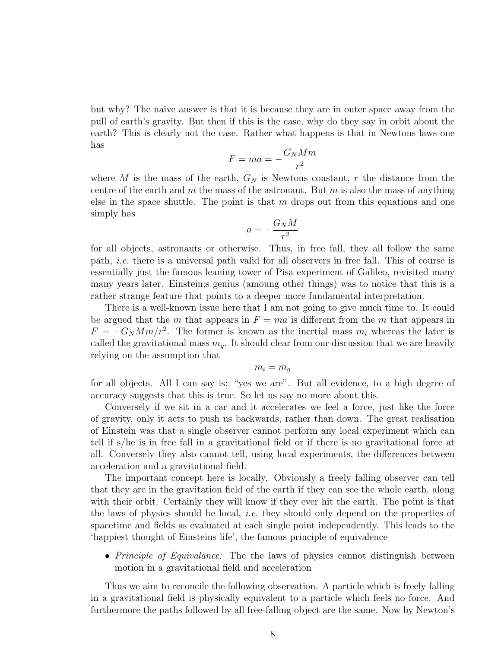but why? The naive answer is that it is because they are in outer space away from the pull of earth's gravity. But then if this is the case, why do they say in orbit about the earth? This is clearly not the case. Rather what happens is that in Newtons laws one has

$$
F = ma = -\frac{G_N M m}{r^2}
$$

where  $M$  is the mass of the earth,  $G_N$  is Newtons constant,  $r$  the distance from the centre of the earth and m the mass of the astronaut. But m is also the mass of anything else in the space shuttle. The point is that  $m$  drops out from this equations and one simply has

$$
a = -\frac{G_N M}{r^2}
$$

for all objects, astronauts or otherwise. Thus, in free fall, they all follow the same path, i.e. there is a universal path valid for all observers in free fall. This of course is essentially just the famous leaning tower of Pisa experiment of Galileo, revisited many many years later. Einstein;s genius (amoung other things) was to notice that this is a rather strange feature that points to a deeper more fundamental interpretation.

There is a well-known issue here that I am not going to give much time to. It could be argued that the m that appears in  $F = ma$  is different from the m that appears in  $F = -G_N M m/r^2$ . The former is known as the inertial mass  $m_i$  whereas the later is called the gravitational mass  $m_q$ . It should clear from our discussion that we are heavily relying on the assumption that

$$
m_i = m_g
$$

for all objects. All I can say is: "yes we are". But all evidence, to a high degree of accuracy suggests that this is true. So let us say no more about this.

Conversely if we sit in a car and it accelerates we feel a force, just like the force of gravity, only it acts to push us backwards, rather than down. The great realisation of Einstein was that a single observer cannot perform any local experiment which can tell if s/he is in free fall in a gravitational field or if there is no gravitational force at all. Conversely they also cannot tell, using local experiments, the differences between acceleration and a gravitational field.

The important concept here is locally. Obviously a freely falling observer can tell that they are in the gravitation field of the earth if they can see the whole earth, along with their orbit. Certainly they will know if they ever hit the earth. The point is that the laws of physics should be local, i.e. they should only depend on the properties of spacetime and fields as evaluated at each single point independently. This leads to the 'happiest thought of Einsteins life', the famous principle of equivalence

• *Principle of Equivalance:* The the laws of physics cannot distinguish between motion in a gravitational field and acceleration

Thus we aim to reconcile the following observation. A particle which is freely falling in a gravitational field is physically equivalent to a particle which feels no force. And furthermore the paths followed by all free-falling object are the same. Now by Newton's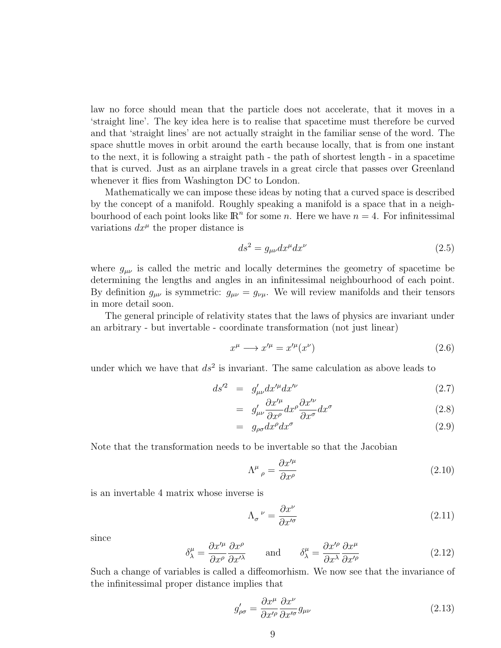law no force should mean that the particle does not accelerate, that it moves in a 'straight line'. The key idea here is to realise that spacetime must therefore be curved and that 'straight lines' are not actually straight in the familiar sense of the word. The space shuttle moves in orbit around the earth because locally, that is from one instant to the next, it is following a straight path - the path of shortest length - in a spacetime that is curved. Just as an airplane travels in a great circle that passes over Greenland whenever it flies from Washington DC to London.

Mathematically we can impose these ideas by noting that a curved space is described by the concept of a manifold. Roughly speaking a manifold is a space that in a neighbourhood of each point looks like  $\mathbb{R}^n$  for some n. Here we have  $n = 4$ . For infinitessimal variations  $dx^{\mu}$  the proper distance is

$$
ds^2 = g_{\mu\nu} dx^{\mu} dx^{\nu}
$$
\n(2.5)

where  $g_{\mu\nu}$  is called the metric and locally determines the geometry of spacetime be determining the lengths and angles in an infinitessimal neighbourhood of each point. By definition  $g_{\mu\nu}$  is symmetric:  $g_{\mu\nu} = g_{\nu\mu}$ . We will review manifolds and their tensors in more detail soon.

The general principle of relativity states that the laws of physics are invariant under an arbitrary - but invertable - coordinate transformation (not just linear)

$$
x^{\mu} \longrightarrow x^{\prime \mu} = x^{\prime \mu} (x^{\nu}) \tag{2.6}
$$

under which we have that  $ds^2$  is invariant. The same calculation as above leads to

$$
ds^{\prime 2} = g'_{\mu\nu} dx^{\prime \mu} dx^{\prime \nu} \tag{2.7}
$$

$$
= g'_{\mu\nu} \frac{\partial x'^{\mu}}{\partial x^{\rho}} dx^{\rho} \frac{\partial x'^{\nu}}{\partial x^{\sigma}} dx^{\sigma}
$$
\n(2.8)

$$
= g_{\rho\sigma} dx^{\rho} dx^{\sigma} \tag{2.9}
$$

Note that the transformation needs to be invertable so that the Jacobian

$$
\Lambda^{\mu}{}_{\rho} = \frac{\partial x^{\prime \mu}}{\partial x^{\rho}} \tag{2.10}
$$

is an invertable 4 matrix whose inverse is

$$
\Lambda_{\sigma}{}^{\nu} = \frac{\partial x^{\nu}}{\partial x^{\prime \sigma}} \tag{2.11}
$$

since

$$
\delta^{\mu}_{\lambda} = \frac{\partial x'^{\mu}}{\partial x^{\rho}} \frac{\partial x^{\rho}}{\partial x'^{\lambda}} \quad \text{and} \quad \delta^{\mu}_{\lambda} = \frac{\partial x'^{\rho}}{\partial x^{\lambda}} \frac{\partial x^{\mu}}{\partial x'^{\rho}}
$$
(2.12)

Such a change of variables is called a diffeomorhism. We now see that the invariance of the infinitessimal proper distance implies that

$$
g'_{\rho\sigma} = \frac{\partial x^{\mu}}{\partial x'^{\rho}} \frac{\partial x^{\nu}}{\partial x'^{\sigma}} g_{\mu\nu}
$$
\n(2.13)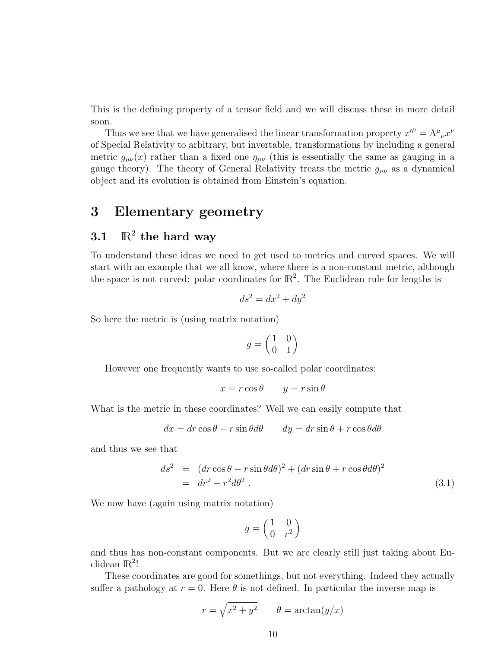This is the defining property of a tensor field and we will discuss these in more detail soon.

Thus we see that we have generalised the linear transformation property  $x^{\prime \mu} = \Lambda^{\mu}{}_{\nu} x^{\nu}$ of Special Relativity to arbitrary, but invertable, transformations by including a general metric  $g_{\mu\nu}(x)$  rather than a fixed one  $\eta_{\mu\nu}$  (this is essentially the same as gauging in a gauge theory). The theory of General Relativity treats the metric  $g_{\mu\nu}$  as a dynamical object and its evolution is obtained from Einstein's equation.

### 3 Elementary geometry

### 3.1  $\mathbb{R}^2$  the hard way

To understand these ideas we need to get used to metrics and curved spaces. We will start with an example that we all know, where there is a non-constant metric, although the space is not curved: polar coordinates for  $\mathbb{R}^2$ . The Euclidean rule for lengths is

$$
ds^2 = dx^2 + dy^2
$$

So here the metric is (using matrix notation)

$$
g=\begin{pmatrix} 1 & 0 \\ 0 & 1 \end{pmatrix}
$$

However one frequently wants to use so-called polar coordinates:

$$
x = r \cos \theta \qquad y = r \sin \theta
$$

What is the metric in these coordinates? Well we can easily compute that

$$
dx = dr \cos \theta - r \sin \theta d\theta \qquad dy = dr \sin \theta + r \cos \theta d\theta
$$

and thus we see that

$$
ds^{2} = (dr \cos \theta - r \sin \theta d\theta)^{2} + (dr \sin \theta + r \cos \theta d\theta)^{2}
$$
  
=  $dr^{2} + r^{2} d\theta^{2}$ . (3.1)

We now have (again using matrix notation)

$$
g = \begin{pmatrix} 1 & 0 \\ 0 & r^2 \end{pmatrix}
$$

and thus has non-constant components. But we are clearly still just taking about Euclidean  $\mathbb{R}^2$ !

These coordinates are good for somethings, but not everything. Indeed they actually suffer a pathology at  $r = 0$ . Here  $\theta$  is not defined. In particular the inverse map is

$$
r = \sqrt{x^2 + y^2} \qquad \theta = \arctan(y/x)
$$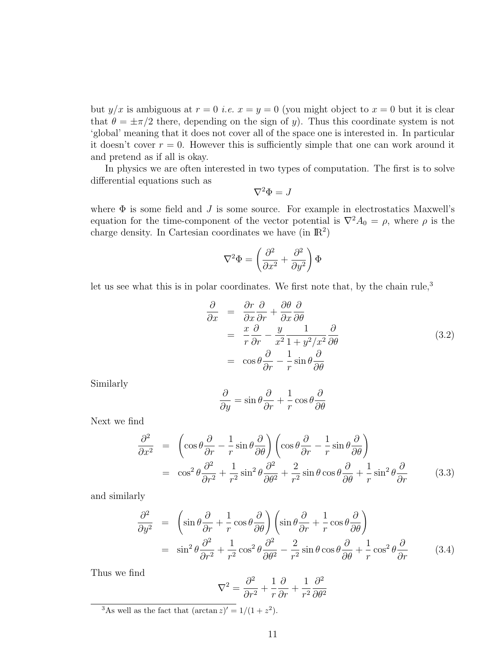but  $y/x$  is ambiguous at  $r = 0$  *i.e.*  $x = y = 0$  (you might object to  $x = 0$  but it is clear that  $\theta = \pm \pi/2$  there, depending on the sign of y). Thus this coordinate system is not 'global' meaning that it does not cover all of the space one is interested in. In particular it doesn't cover  $r = 0$ . However this is sufficiently simple that one can work around it and pretend as if all is okay.

In physics we are often interested in two types of computation. The first is to solve differential equations such as

$$
\nabla^2 \Phi = J
$$

where  $\Phi$  is some field and  $J$  is some source. For example in electrostatics Maxwell's equation for the time-component of the vector potential is  $\nabla^2 A_0 = \rho$ , where  $\rho$  is the charge density. In Cartesian coordinates we have  $(in \mathbb{R}^2)$ 

$$
\nabla^2\Phi=\left(\frac{\partial^2}{\partial x^2}+\frac{\partial^2}{\partial y^2}\right)\Phi
$$

let us see what this is in polar coordinates. We first note that, by the chain rule,<sup>3</sup>

$$
\frac{\partial}{\partial x} = \frac{\partial r}{\partial x} \frac{\partial}{\partial r} + \frac{\partial \theta}{\partial x} \frac{\partial}{\partial \theta} \n= \frac{x}{r} \frac{\partial}{\partial r} - \frac{y}{x^2} \frac{1}{1 + y^2/x^2} \frac{\partial}{\partial \theta} \n= \cos \theta \frac{\partial}{\partial r} - \frac{1}{r} \sin \theta \frac{\partial}{\partial \theta}
$$
\n(3.2)

Similarly

$$
\frac{\partial}{\partial y} = \sin \theta \frac{\partial}{\partial r} + \frac{1}{r} \cos \theta \frac{\partial}{\partial \theta}
$$

Next we find

$$
\frac{\partial^2}{\partial x^2} = \left( \cos \theta \frac{\partial}{\partial r} - \frac{1}{r} \sin \theta \frac{\partial}{\partial \theta} \right) \left( \cos \theta \frac{\partial}{\partial r} - \frac{1}{r} \sin \theta \frac{\partial}{\partial \theta} \right)
$$
  

$$
= \cos^2 \theta \frac{\partial^2}{\partial r^2} + \frac{1}{r^2} \sin^2 \theta \frac{\partial^2}{\partial \theta^2} + \frac{2}{r^2} \sin \theta \cos \theta \frac{\partial}{\partial \theta} + \frac{1}{r} \sin^2 \theta \frac{\partial}{\partial r}
$$
(3.3)

and similarly

$$
\frac{\partial^2}{\partial y^2} = \left( \sin \theta \frac{\partial}{\partial r} + \frac{1}{r} \cos \theta \frac{\partial}{\partial \theta} \right) \left( \sin \theta \frac{\partial}{\partial r} + \frac{1}{r} \cos \theta \frac{\partial}{\partial \theta} \right)
$$
  

$$
= \sin^2 \theta \frac{\partial^2}{\partial r^2} + \frac{1}{r^2} \cos^2 \theta \frac{\partial^2}{\partial \theta^2} - \frac{2}{r^2} \sin \theta \cos \theta \frac{\partial}{\partial \theta} + \frac{1}{r} \cos^2 \theta \frac{\partial}{\partial r}
$$
(3.4)

Thus we find

$$
\nabla^2 = \frac{\partial^2}{\partial r^2} + \frac{1}{r} \frac{\partial}{\partial r} + \frac{1}{r^2} \frac{\partial^2}{\partial \theta^2}
$$

<sup>3</sup>As well as the fact that  $(\arctan z)' = 1/(1 + z^2)$ .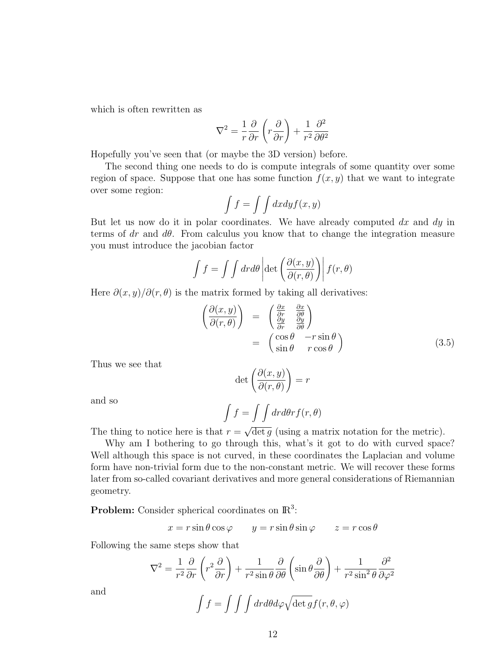which is often rewritten as

$$
\nabla^2 = \frac{1}{r} \frac{\partial}{\partial r} \left( r \frac{\partial}{\partial r} \right) + \frac{1}{r^2} \frac{\partial^2}{\partial \theta^2}
$$

Hopefully you've seen that (or maybe the 3D version) before.

The second thing one needs to do is compute integrals of some quantity over some region of space. Suppose that one has some function  $f(x, y)$  that we want to integrate over some region:

$$
\int f = \int \int dx dy f(x, y)
$$

But let us now do it in polar coordinates. We have already computed  $dx$  and  $dy$  in terms of dr and  $d\theta$ . From calculus you know that to change the integration measure you must introduce the jacobian factor

$$
\int f = \int \int dr d\theta \left| \det \left( \frac{\partial(x, y)}{\partial(r, \theta)} \right) \right| f(r, \theta)
$$

Here  $\partial(x, y)/\partial(r, \theta)$  is the matrix formed by taking all derivatives:

$$
\begin{array}{rcl}\n\left(\frac{\partial(x,y)}{\partial(r,\theta)}\right) & = & \begin{pmatrix}\n\frac{\partial x}{\partial r} & \frac{\partial x}{\partial \theta} \\
\frac{\partial y}{\partial r} & \frac{\partial y}{\partial \theta}\n\end{pmatrix} \\
 & = & \begin{pmatrix}\n\cos\theta & -r\sin\theta \\
\sin\theta & r\cos\theta\n\end{pmatrix}\n\end{array} \tag{3.5}
$$

Thus we see that

$$
\det\left(\frac{\partial(x,y)}{\partial(r,\theta)}\right) = r
$$

and so

$$
\int f = \int \int dr d\theta r f(r, \theta)
$$

The thing to notice here is that  $r =$  $\overline{\det g}$  (using a matrix notation for the metric).

Why am I bothering to go through this, what's it got to do with curved space? Well although this space is not curved, in these coordinates the Laplacian and volume form have non-trivial form due to the non-constant metric. We will recover these forms later from so-called covariant derivatives and more general considerations of Riemannian geometry.

**Problem:** Consider spherical coordinates on  $\mathbb{R}^3$ :

$$
x = r \sin \theta \cos \varphi \qquad y = r \sin \theta \sin \varphi \qquad z = r \cos \theta
$$

Following the same steps show that

$$
\nabla^2 = \frac{1}{r^2} \frac{\partial}{\partial r} \left( r^2 \frac{\partial}{\partial r} \right) + \frac{1}{r^2 \sin \theta} \frac{\partial}{\partial \theta} \left( \sin \theta \frac{\partial}{\partial \theta} \right) + \frac{1}{r^2 \sin^2 \theta} \frac{\partial^2}{\partial \varphi^2}
$$

and

$$
\int f = \int \int \int dr d\theta d\varphi \sqrt{\det g} f(r, \theta, \varphi)
$$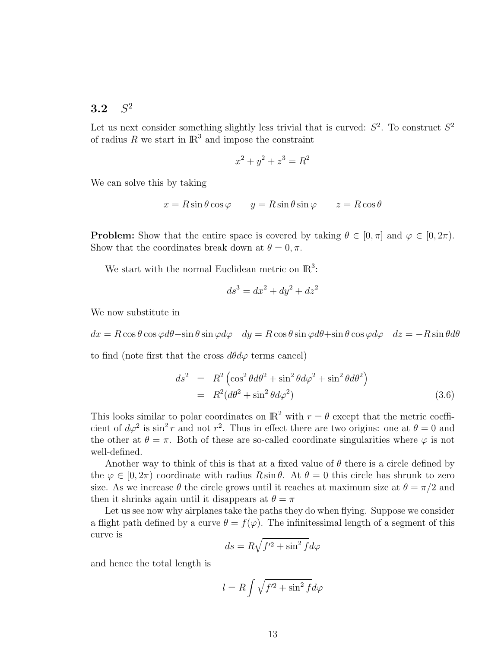#### 3.2  $S^2$

Let us next consider something slightly less trivial that is curved:  $S^2$ . To construct  $S^2$ of radius R we start in  $\mathbb{R}^3$  and impose the constraint

$$
x^2 + y^2 + z^3 = R^2
$$

We can solve this by taking

$$
x = R\sin\theta\cos\varphi \qquad y = R\sin\theta\sin\varphi \qquad z = R\cos\theta
$$

**Problem:** Show that the entire space is covered by taking  $\theta \in [0, \pi]$  and  $\varphi \in [0, 2\pi)$ . Show that the coordinates break down at  $\theta = 0, \pi$ .

We start with the normal Euclidean metric on  $\mathbb{R}^3$ :

$$
ds^3 = dx^2 + dy^2 + dz^2
$$

We now substitute in

 $dx = R \cos \theta \cos \varphi d\theta - \sin \theta \sin \varphi d\varphi$   $dy = R \cos \theta \sin \varphi d\theta + \sin \theta \cos \varphi d\varphi$   $dz = -R \sin \theta d\theta$ 

to find (note first that the cross  $d\theta d\varphi$  terms cancel)

$$
ds^{2} = R^{2} \left( \cos^{2} \theta d\theta^{2} + \sin^{2} \theta d\varphi^{2} + \sin^{2} \theta d\theta^{2} \right)
$$
  
=  $R^{2} (d\theta^{2} + \sin^{2} \theta d\varphi^{2})$  (3.6)

This looks similar to polar coordinates on  $\mathbb{R}^2$  with  $r = \theta$  except that the metric coefficient of  $d\varphi^2$  is  $\sin^2 r$  and not  $r^2$ . Thus in effect there are two origins: one at  $\theta = 0$  and the other at  $\theta = \pi$ . Both of these are so-called coordinate singularities where  $\varphi$  is not well-defined.

Another way to think of this is that at a fixed value of  $\theta$  there is a circle defined by the  $\varphi \in [0, 2\pi)$  coordinate with radius  $R \sin \theta$ . At  $\theta = 0$  this circle has shrunk to zero size. As we increase  $\theta$  the circle grows until it reaches at maximum size at  $\theta = \pi/2$  and then it shrinks again until it disappears at  $\theta = \pi$ 

Let us see now why airplanes take the paths they do when flying. Suppose we consider a flight path defined by a curve  $\theta = f(\varphi)$ . The infinitessimal length of a segment of this curve is

$$
ds = R\sqrt{f'^2 + \sin^2 f} d\varphi
$$

and hence the total length is

$$
l = R \int \sqrt{f'^2 + \sin^2 f} d\varphi
$$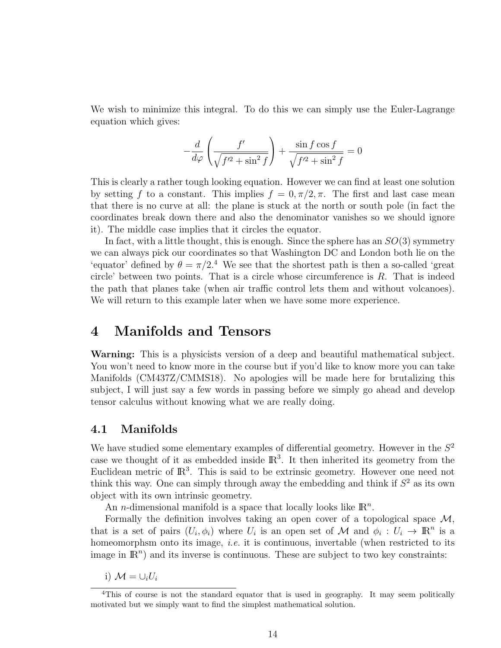We wish to minimize this integral. To do this we can simply use the Euler-Lagrange equation which gives:

$$
-\frac{d}{d\varphi}\left(\frac{f'}{\sqrt{f'^2+\sin^2f}}\right)+\frac{\sin f\cos f}{\sqrt{f'^2+\sin^2f}}=0
$$

This is clearly a rather tough looking equation. However we can find at least one solution by setting f to a constant. This implies  $f = 0, \pi/2, \pi$ . The first and last case mean that there is no curve at all: the plane is stuck at the north or south pole (in fact the coordinates break down there and also the denominator vanishes so we should ignore it). The middle case implies that it circles the equator.

In fact, with a little thought, this is enough. Since the sphere has an  $SO(3)$  symmetry we can always pick our coordinates so that Washington DC and London both lie on the 'equator' defined by  $\theta = \pi/2$ .<sup>4</sup> We see that the shortest path is then a so-called 'great circle' between two points. That is a circle whose circumference is  $R$ . That is indeed the path that planes take (when air traffic control lets them and without volcanoes). We will return to this example later when we have some more experience.

### 4 Manifolds and Tensors

Warning: This is a physicists version of a deep and beautiful mathematical subject. You won't need to know more in the course but if you'd like to know more you can take Manifolds (CM437Z/CMMS18). No apologies will be made here for brutalizing this subject, I will just say a few words in passing before we simply go ahead and develop tensor calculus without knowing what we are really doing.

#### 4.1 Manifolds

We have studied some elementary examples of differential geometry. However in the  $S<sup>2</sup>$ case we thought of it as embedded inside  $\mathbb{R}^3$ . It then inherited its geometry from the Euclidean metric of  $\mathbb{R}^3$ . This is said to be extrinsic geometry. However one need not think this way. One can simply through away the embedding and think if  $S<sup>2</sup>$  as its own object with its own intrinsic geometry.

An *n*-dimensional manifold is a space that locally looks like  $\mathbb{R}^n$ .

Formally the definition involves taking an open cover of a topological space  $\mathcal{M}$ , that is a set of pairs  $(U_i, \phi_i)$  where  $U_i$  is an open set of M and  $\phi_i : U_i \to \mathbb{R}^n$  is a homeomorphsm onto its image, *i.e.* it is continuous, invertable (when restricted to its image in  $\mathbb{R}^n$ ) and its inverse is continuous. These are subject to two key constraints:

i)  $\mathcal{M} = \cup_i U_i$ 

<sup>4</sup>This of course is not the standard equator that is used in geography. It may seem politically motivated but we simply want to find the simplest mathematical solution.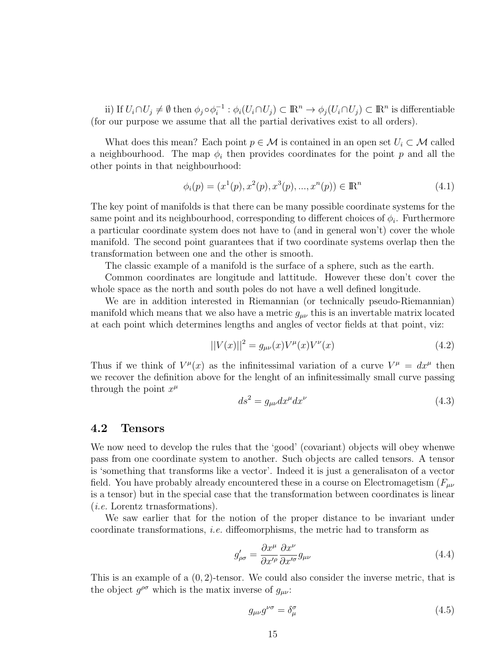ii) If  $U_i \cap U_j \neq \emptyset$  then  $\phi_j \circ \phi_i^{-1} : \phi_i(U_i \cap U_j) \subset \mathbb{R}^n \to \phi_j(U_i \cap U_j) \subset \mathbb{R}^n$  is differentiable (for our purpose we assume that all the partial derivatives exist to all orders).

What does this mean? Each point  $p \in \mathcal{M}$  is contained in an open set  $U_i \subset \mathcal{M}$  called a neighbourhood. The map  $\phi_i$  then provides coordinates for the point p and all the other points in that neighbourhood:

$$
\phi_i(p) = (x^1(p), x^2(p), x^3(p), ..., x^n(p)) \in \mathbb{R}^n
$$
\n(4.1)

The key point of manifolds is that there can be many possible coordinate systems for the same point and its neighbourhood, corresponding to different choices of  $\phi_i$ . Furthermore a particular coordinate system does not have to (and in general won't) cover the whole manifold. The second point guarantees that if two coordinate systems overlap then the transformation between one and the other is smooth.

The classic example of a manifold is the surface of a sphere, such as the earth.

Common coordinates are longitude and lattitude. However these don't cover the whole space as the north and south poles do not have a well defined longitude.

We are in addition interested in Riemannian (or technically pseudo-Riemannian) manifold which means that we also have a metric  $g_{\mu\nu}$  this is an invertable matrix located at each point which determines lengths and angles of vector fields at that point, viz:

$$
||V(x)||^2 = g_{\mu\nu}(x)V^{\mu}(x)V^{\nu}(x)
$$
\n(4.2)

Thus if we think of  $V^{\mu}(x)$  as the infinitessimal variation of a curve  $V^{\mu} = dx^{\mu}$  then we recover the definition above for the lenght of an infinitessimally small curve passing through the point  $x^{\mu}$ 

$$
ds^2 = g_{\mu\nu} dx^{\mu} dx^{\nu}
$$
\n(4.3)

#### 4.2 Tensors

We now need to develop the rules that the 'good' (covariant) objects will obey whenwe pass from one coordinate system to another. Such objects are called tensors. A tensor is 'something that transforms like a vector'. Indeed it is just a generalisaton of a vector field. You have probably already encountered these in a course on Electromagetism ( $F_{\mu\nu}$ ) is a tensor) but in the special case that the transformation between coordinates is linear (i.e. Lorentz trnasformations).

We saw earlier that for the notion of the proper distance to be invariant under coordinate transformations, i.e. diffeomorphisms, the metric had to transform as

$$
g'_{\rho\sigma} = \frac{\partial x^{\mu}}{\partial x'^{\rho}} \frac{\partial x^{\nu}}{\partial x'^{\sigma}} g_{\mu\nu}
$$
\n(4.4)

This is an example of a  $(0, 2)$ -tensor. We could also consider the inverse metric, that is the object  $g^{\rho\sigma}$  which is the matix inverse of  $g_{\mu\nu}$ :

$$
g_{\mu\nu}g^{\nu\sigma} = \delta^{\sigma}_{\mu} \tag{4.5}
$$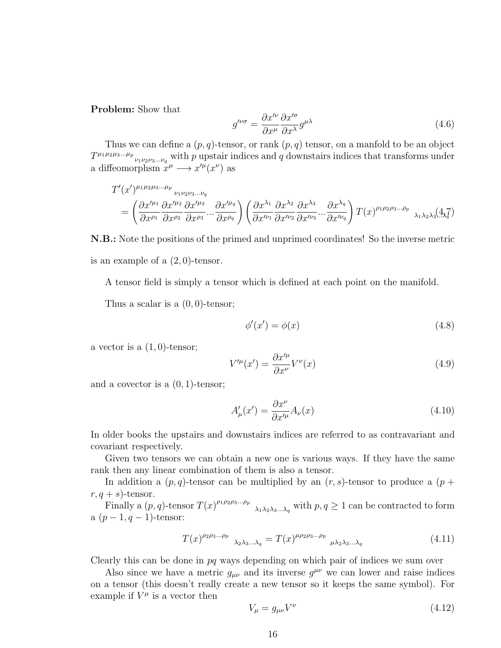Problem: Show that

$$
g^{\prime\nu\sigma} = \frac{\partial x^{\prime\nu}}{\partial x^{\mu}} \frac{\partial x^{\prime\sigma}}{\partial x^{\lambda}} g^{\mu\lambda}
$$
\n(4.6)

Thus we can define a  $(p, q)$ -tensor, or rank  $(p, q)$  tensor, on a manfold to be an object  $T^{\mu_1\mu_2\mu_3...\mu_p}$ <sub> $\nu_1\nu_2\nu_3...\nu_q$ </sub> with p upstair indices and q downstairs indices that transforms under a diffeomorphsm  $x^{\mu} \longrightarrow x'^{\mu}(x^{\nu})$  as

$$
T'(x')^{\mu_1\mu_2\mu_3\dots\mu_p} \underset{\partial x^{\rho_1}}{\longrightarrow} \frac{\partial x'^{\mu_2}}{\partial x^{\rho_1}} \frac{\partial x'^{\mu_2}}{\partial x^{\rho_2}} \cdots \frac{\partial x'^{\mu_q}}{\partial x^{\rho_q}} \bigg) \left(\frac{\partial x^{\lambda_1}}{\partial x'^{\nu_1}} \frac{\partial x^{\lambda_2}}{\partial x'^{\nu_2}} \frac{\partial x^{\lambda_3}}{\partial x'^{\nu_3}} \cdots \frac{\partial x^{\lambda_q}}{\partial x'^{\nu_q}}\right) T(x)^{\rho_1 \rho_2 \rho_3 \dots \rho_p} \underset{\lambda_1 \lambda_2 \lambda_3}{\longrightarrow} \frac{\lambda_1 \lambda_2 \lambda_3 \lambda_3 \lambda_4 \lambda_4 \lambda_5 \lambda_6 \lambda_7 \lambda_8 \lambda_9 \lambda_9 \lambda_9 \lambda_1 \lambda_1 \lambda_2 \lambda_3 \lambda_1 \lambda_1 \lambda_2 \lambda_3 \lambda_1 \lambda_1 \lambda_2 \lambda_3 \lambda_1 \lambda_1 \lambda_2 \lambda_3 \lambda_1 \lambda_1 \lambda_2 \lambda_3 \lambda_1 \lambda_1 \lambda_2 \lambda_3 \lambda_1 \lambda_1 \lambda_2 \lambda_3 \lambda_1 \lambda_2 \lambda_3 \lambda_1 \lambda_2 \lambda_3 \lambda_1 \lambda_2 \lambda_3 \lambda_1 \lambda_3 \lambda_1 \lambda_2 \lambda_3 \lambda_1 \lambda_3 \lambda_1 \lambda_2 \lambda_3 \lambda_1 \lambda_2 \lambda_3 \lambda_1 \lambda_3 \lambda_1 \lambda_2 \lambda_3 \lambda_1 \lambda_3 \lambda_1 \lambda_2 \lambda_3 \lambda_1 \lambda_2 \lambda_3 \lambda_1 \lambda_2 \lambda_3 \lambda_1 \lambda_2 \lambda_3 \lambda_1 \lambda_3 \lambda_1 \lambda_2 \lambda_3 \lambda_1 \lambda_2 \lambda_3 \lambda_1 \lambda_2 \lambda_3 \lambda_1 \lambda_2 \lambda_3 \lambda_1 \lambda_2 \lambda_3 \lambda_1 \lambda_2 \lambda_3 \lambda_1 \lambda_2 \lambda_3 \lambda_1 \lambda_2 \lambda_3 \lambda_1 \lambda_2 \lambda_3 \lambda_1 \lambda_2 \lambda_3 \lambda_1 \lambda_2 \lambda_3 \lambda_1 \lambda_2 \lambda_3 \lambda_1 \lambda_2 \lambda_3 \lambda_1 \lambda_2 \lambda_3 \lambda_1 \lambda_2 \lambda_3 \lambda_1 \lambda_2 \lambda_3
$$

N.B.: Note the positions of the primed and unprimed coordinates! So the inverse metric is an example of a  $(2,0)$ -tensor.

A tensor field is simply a tensor which is defined at each point on the manifold.

Thus a scalar is a  $(0, 0)$ -tensor;

$$
\phi'(x') = \phi(x) \tag{4.8}
$$

a vector is a  $(1, 0)$ -tensor;

$$
V^{\prime \mu}(x') = \frac{\partial x^{\prime \mu}}{\partial x^{\nu}} V^{\nu}(x)
$$
\n(4.9)

and a covector is a (0, 1)-tensor;

$$
A'_{\mu}(x') = \frac{\partial x^{\nu}}{\partial x'^{\mu}} A_{\nu}(x)
$$
\n(4.10)

In older books the upstairs and downstairs indices are referred to as contravariant and covariant respectively.

Given two tensors we can obtain a new one is various ways. If they have the same rank then any linear combination of them is also a tensor.

In addition a  $(p, q)$ -tensor can be multiplied by an  $(r, s)$ -tensor to produce a  $(p +$  $r, q + s$ -tensor.

Finally a  $(p, q)$ -tensor  $T(x)^{\rho_1 \rho_2 \rho_3...\rho_p}$   $\lambda_1 \lambda_2 \lambda_3...\lambda_q$  with  $p, q \ge 1$  can be contracted to form a  $(p-1, q-1)$ -tensor:

$$
T(x)^{\rho_2 \rho_3 \dots \rho_p} \lambda_2 \lambda_3 \dots \lambda_q = T(x)^{\mu \rho_2 \rho_3 \dots \rho_p} \mu_2 \lambda_3 \dots \lambda_q \tag{4.11}
$$

Clearly this can be done in pq ways depending on which pair of indices we sum over

Also since we have a metric  $g_{\mu\nu}$  and its inverse  $g^{\mu\nu}$  we can lower and raise indices on a tensor (this doesn't really create a new tensor so it keeps the same symbol). For example if  $V^{\mu}$  is a vector then

$$
V_{\mu} = g_{\mu\nu} V^{\nu} \tag{4.12}
$$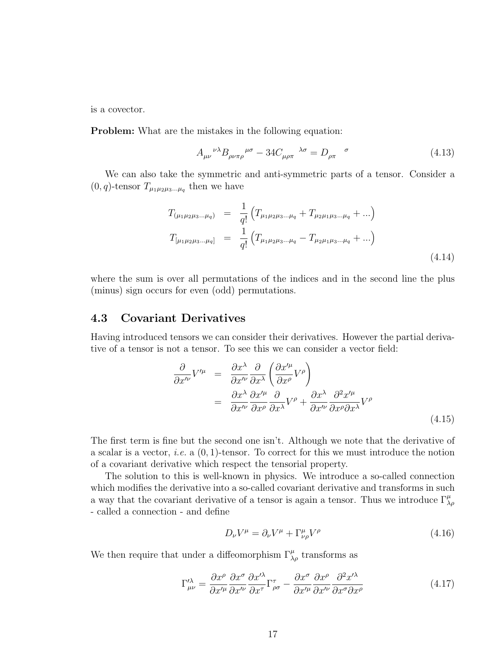is a covector.

Problem: What are the mistakes in the following equation:

$$
A_{\mu\nu}^{\ \ \nu\lambda}B_{\rho\nu\pi\rho}^{\ \ \mu\sigma} - 34C_{\mu\rho\pi}^{\ \ \lambda\sigma} = D_{\rho\pi}^{\ \ \sigma} \tag{4.13}
$$

We can also take the symmetric and anti-symmetric parts of a tensor. Consider a  $(0, q)$ -tensor  $T_{\mu_1 \mu_2 \mu_3 \dots \mu_q}$  then we have

$$
T_{(\mu_1\mu_2\mu_3...\mu_q)} = \frac{1}{q!} \left( T_{\mu_1\mu_2\mu_3...\mu_q} + T_{\mu_2\mu_1\mu_3...\mu_q} + ...\right)
$$
  

$$
T_{[\mu_1\mu_2\mu_3...\mu_q]} = \frac{1}{q!} \left( T_{\mu_1\mu_2\mu_3...\mu_q} - T_{\mu_2\mu_1\mu_3...\mu_q} + ...\right)
$$
(4.14)

where the sum is over all permutations of the indices and in the second line the plus (minus) sign occurs for even (odd) permutations.

#### 4.3 Covariant Derivatives

Having introduced tensors we can consider their derivatives. However the partial derivative of a tensor is not a tensor. To see this we can consider a vector field:

$$
\frac{\partial}{\partial x'^{\nu}} V'^{\mu} = \frac{\partial x^{\lambda}}{\partial x'^{\nu}} \frac{\partial}{\partial x^{\lambda}} \left( \frac{\partial x'^{\mu}}{\partial x^{\rho}} V^{\rho} \right)
$$

$$
= \frac{\partial x^{\lambda}}{\partial x'^{\nu}} \frac{\partial x'^{\mu}}{\partial x^{\rho}} \frac{\partial}{\partial x^{\lambda}} V^{\rho} + \frac{\partial x^{\lambda}}{\partial x'^{\nu}} \frac{\partial^{2} x'^{\mu}}{\partial x^{\rho} \partial x^{\lambda}} V^{\rho}
$$
(4.15)

The first term is fine but the second one isn't. Although we note that the derivative of a scalar is a vector, *i.e.* a  $(0, 1)$ -tensor. To correct for this we must introduce the notion of a covariant derivative which respect the tensorial property.

The solution to this is well-known in physics. We introduce a so-called connection which modifies the derivative into a so-called covariant derivative and transforms in such a way that the covariant derivative of a tensor is again a tensor. Thus we introduce  $\Gamma^{\mu}_{\lambda\rho}$ - called a connection - and define

$$
D_{\nu}V^{\mu} = \partial_{\nu}V^{\mu} + \Gamma^{\mu}_{\nu\rho}V^{\rho}
$$
\n(4.16)

We then require that under a diffeomorphism  $\Gamma^{\mu}_{\lambda\rho}$  transforms as

$$
\Gamma^{\prime \lambda}_{\mu \nu} = \frac{\partial x^{\rho}}{\partial x^{\prime \mu}} \frac{\partial x^{\sigma}}{\partial x^{\prime \nu}} \frac{\partial x^{\prime \lambda}}{\partial x^{\tau}} \Gamma^{\tau}_{\rho \sigma} - \frac{\partial x^{\sigma}}{\partial x^{\prime \mu}} \frac{\partial x^{\rho}}{\partial x^{\nu}} \frac{\partial^{2} x^{\prime \lambda}}{\partial x^{\sigma} \partial x^{\rho}} \tag{4.17}
$$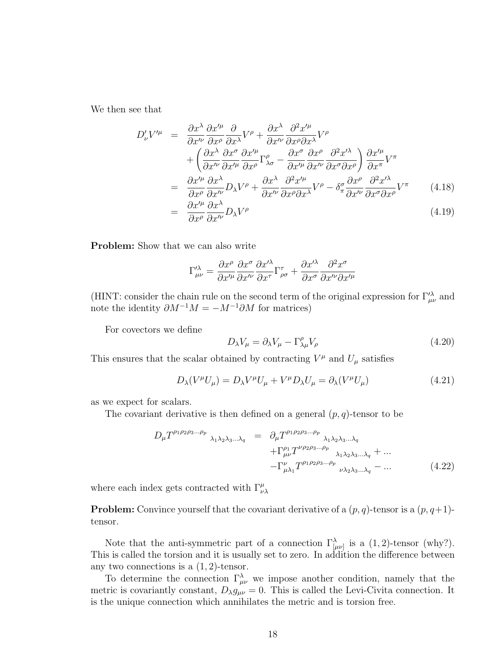We then see that

$$
D'_{\nu}V'^{\mu} = \frac{\partial x^{\lambda}}{\partial x^{\mu}} \frac{\partial x'^{\mu}}{\partial x^{\rho}} \frac{\partial}{\partial x^{\lambda}} V^{\rho} + \frac{\partial x^{\lambda}}{\partial x^{\nu}} \frac{\partial^{2} x'^{\mu}}{\partial x^{\rho} \partial x^{\lambda}} V^{\rho} + \left( \frac{\partial x^{\lambda}}{\partial x^{\nu}} \frac{\partial x^{\sigma}}{\partial x^{\prime \mu}} \frac{\partial x'^{\mu}}{\partial x^{\rho}} \Gamma^{\rho}_{\lambda \sigma} - \frac{\partial x^{\sigma}}{\partial x^{\prime \mu}} \frac{\partial x^{\rho}}{\partial x^{\nu \nu}} \frac{\partial^{2} x'^{\lambda}}{\partial x^{\sigma} \partial x^{\rho}} \right) \frac{\partial x'^{\mu}}{\partial x^{\pi}} V^{\pi} = \frac{\partial x'^{\mu}}{\partial x^{\rho}} \frac{\partial x^{\lambda}}{\partial x^{\nu}} D_{\lambda} V^{\rho} + \frac{\partial x^{\lambda}}{\partial x^{\prime \nu}} \frac{\partial^{2} x'^{\mu}}{\partial x^{\rho} \partial x^{\lambda}} V^{\rho} - \delta^{\sigma}_{\pi} \frac{\partial x^{\rho}}{\partial x^{\prime \nu}} \frac{\partial^{2} x'^{\lambda}}{\partial x^{\sigma} \partial x^{\rho}} V^{\pi} = \frac{\partial x'^{\mu}}{\partial x^{\rho}} \frac{\partial x^{\lambda}}{\partial x^{\nu}} D_{\lambda} V^{\rho}
$$
(4.18)

Problem: Show that we can also write

$$
\Gamma^{\prime\lambda}_{\mu\nu}=\frac{\partial x^{\rho}}{\partial x^{\prime\mu}}\frac{\partial x^{\sigma}}{\partial x^{\prime\nu}}\frac{\partial x^{\prime\lambda}}{\partial x^{\tau}}\Gamma^{\tau}_{\rho\sigma}+\frac{\partial x^{\prime\lambda}}{\partial x^{\sigma}}\frac{\partial^{2}x^{\sigma}}{\partial x^{\prime\nu}\partial x^{\prime\mu}}
$$

(HINT: consider the chain rule on the second term of the original expression for  $\Gamma_{\mu\nu}^{\prime\lambda}$  and note the identity  $\partial M^{-1}M = -M^{-1}\partial M$  for matrices)

For covectors we define

$$
D_{\lambda}V_{\mu} = \partial_{\lambda}V_{\mu} - \Gamma^{\rho}_{\lambda\mu}V_{\rho}
$$
\n(4.20)

This ensures that the scalar obtained by contracting  $V^{\mu}$  and  $U_{\mu}$  satisfies

$$
D_{\lambda}(V^{\mu}U_{\mu}) = D_{\lambda}V^{\mu}U_{\mu} + V^{\mu}D_{\lambda}U_{\mu} = \partial_{\lambda}(V^{\mu}U_{\mu})
$$
\n(4.21)

as we expect for scalars.

The covariant derivative is then defined on a general  $(p, q)$ -tensor to be

$$
D_{\mu}T^{\rho_1\rho_2\rho_3...\rho_p}{}_{\lambda_1\lambda_2\lambda_3...\lambda_q} = \partial_{\mu}T^{\rho_1\rho_2\rho_3...\rho_p}{}_{\lambda_1\lambda_2\lambda_3...\lambda_q} + \Gamma^{\rho_1}_{\mu\nu}T^{\nu\rho_2\rho_3...\rho_p}{}_{\lambda_1\lambda_2\lambda_3...\lambda_q} + ... - \Gamma^{\nu}_{\mu\lambda_1}T^{\rho_1\rho_2\rho_3...\rho_p}{}_{\nu\lambda_2\lambda_3...\lambda_q} - ...
$$
(4.22)

where each index gets contracted with  $\Gamma^{\mu}_{\nu\lambda}$ 

**Problem:** Convince yourself that the covariant derivative of a  $(p, q)$ -tensor is a  $(p, q+1)$ tensor.

Note that the anti-symmetric part of a connection  $\Gamma_{\mu\nu}^{\lambda}$  is a  $(1, 2)$ -tensor (why?). This is called the torsion and it is usually set to zero. In addition the difference between any two connections is a  $(1, 2)$ -tensor.

To determine the connection  $\Gamma^{\lambda}_{\mu\nu}$  we impose another condition, namely that the metric is covariantly constant,  $D_{\lambda}g_{\mu\nu}=0$ . This is called the Levi-Civita connection. It is the unique connection which annihilates the metric and is torsion free.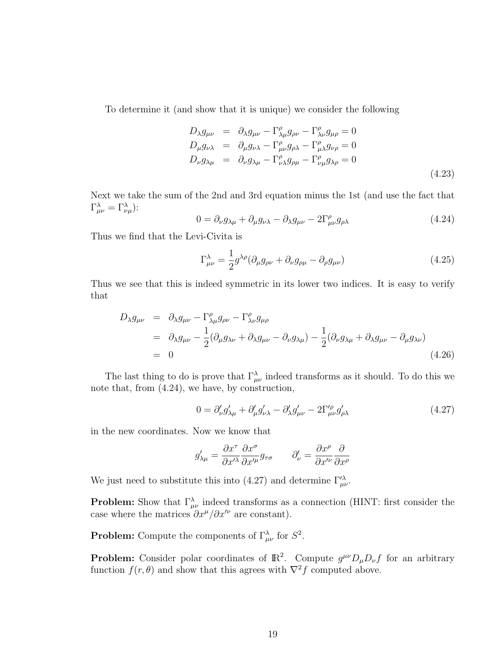To determine it (and show that it is unique) we consider the following

$$
D_{\lambda}g_{\mu\nu} = \partial_{\lambda}g_{\mu\nu} - \Gamma^{\rho}_{\lambda\mu}g_{\rho\nu} - \Gamma^{\rho}_{\lambda\nu}g_{\mu\rho} = 0
$$
  
\n
$$
D_{\mu}g_{\nu\lambda} = \partial_{\mu}g_{\nu\lambda} - \Gamma^{\rho}_{\mu\nu}g_{\rho\lambda} - \Gamma^{\rho}_{\mu\lambda}g_{\nu\rho} = 0
$$
  
\n
$$
D_{\nu}g_{\lambda\mu} = \partial_{\nu}g_{\lambda\mu} - \Gamma^{\rho}_{\nu\lambda}g_{\rho\mu} - \Gamma^{\rho}_{\nu\mu}g_{\lambda\rho} = 0
$$
\n(4.23)

Next we take the sum of the 2nd and 3rd equation minus the 1st (and use the fact that  $\Gamma_{\mu\nu}^{\lambda} = \Gamma_{\nu\mu}^{\lambda}$ ):

$$
0 = \partial_{\nu} g_{\lambda\mu} + \partial_{\mu} g_{\nu\lambda} - \partial_{\lambda} g_{\mu\nu} - 2\Gamma^{\rho}_{\mu\nu} g_{\rho\lambda} \tag{4.24}
$$

Thus we find that the Levi-Civita is

$$
\Gamma^{\lambda}_{\mu\nu} = \frac{1}{2} g^{\lambda\rho} (\partial_{\mu} g_{\rho\nu} + \partial_{\nu} g_{\rho\mu} - \partial_{\rho} g_{\mu\nu})
$$
\n(4.25)

Thus we see that this is indeed symmetric in its lower two indices. It is easy to verify that

$$
D_{\lambda}g_{\mu\nu} = \partial_{\lambda}g_{\mu\nu} - \Gamma^{\rho}_{\lambda\mu}g_{\rho\nu} - \Gamma^{\rho}_{\lambda\nu}g_{\mu\rho}
$$
  
=  $\partial_{\lambda}g_{\mu\nu} - \frac{1}{2}(\partial_{\mu}g_{\lambda\nu} + \partial_{\lambda}g_{\mu\nu} - \partial_{\nu}g_{\lambda\mu}) - \frac{1}{2}(\partial_{\nu}g_{\lambda\mu} + \partial_{\lambda}g_{\mu\nu} - \partial_{\mu}g_{\lambda\nu})$   
= 0 (4.26)

The last thing to do is prove that  $\Gamma_{\mu\nu}^{\lambda}$  indeed transforms as it should. To do this we note that, from (4.24), we have, by construction,

$$
0 = \partial'_{\nu} g'_{\lambda\mu} + \partial'_{\mu} g'_{\nu\lambda} - \partial'_{\lambda} g'_{\mu\nu} - 2\Gamma^{\prime \rho}_{\mu\nu} g'_{\rho\lambda}
$$
\n(4.27)

in the new coordinates. Now we know that

$$
g'_{\lambda\mu} = \frac{\partial x^{\tau}}{\partial x'^{\lambda}} \frac{\partial x^{\sigma}}{\partial x'^{\mu}} g_{\tau\sigma} \qquad \partial'_{\nu} = \frac{\partial x^{\rho}}{\partial x'^{\nu}} \frac{\partial}{\partial x^{\rho}}
$$

We just need to substitute this into (4.27) and determine  $\Gamma^{\prime \lambda}_{\mu \nu}$ .

**Problem:** Show that  $\Gamma^{\lambda}_{\mu\nu}$  indeed transforms as a connection (HINT: first consider the case where the matrices  $\partial x^{\mu}/\partial x^{\prime\nu}$  are constant).

**Problem:** Compute the components of  $\Gamma^{\lambda}_{\mu\nu}$  for  $S^2$ .

**Problem:** Consider polar coordinates of  $\mathbb{R}^2$ . Compute  $g^{\mu\nu}D_{\mu}D_{\nu}f$  for an arbitrary function  $f(r, \theta)$  and show that this agrees with  $\nabla^2 f$  computed above.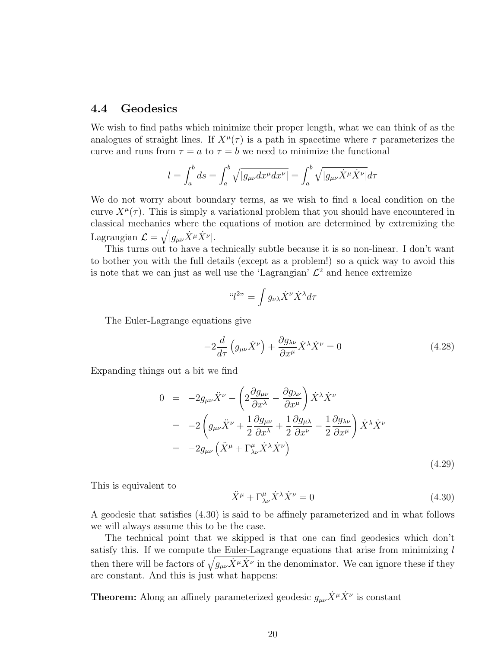#### 4.4 Geodesics

We wish to find paths which minimize their proper length, what we can think of as the analogues of straight lines. If  $X^{\mu}(\tau)$  is a path in spacetime where  $\tau$  parameterizes the curve and runs from  $\tau = a$  to  $\tau = b$  we need to minimize the functional

$$
l = \int_a^b ds = \int_a^b \sqrt{|g_{\mu\nu}dx^{\mu}dx^{\nu}|} = \int_a^b \sqrt{|g_{\mu\nu}\dot{X}^{\mu}\dot{X}^{\nu}|}d\tau
$$

We do not worry about boundary terms, as we wish to find a local condition on the curve  $X^{\mu}(\tau)$ . This is simply a variational problem that you should have encountered in classical mechanics where the equations of motion are determined by extremizing the Lagrangian  $\mathcal{L} = \sqrt{|g_{\mu\nu}\dot{X}^{\mu}\dot{X}^{\nu}|}.$ 

This turns out to have a technically subtle because it is so non-linear. I don't want to bother you with the full details (except as a problem!) so a quick way to avoid this is note that we can just as well use the 'Lagrangian'  $\mathcal{L}^2$  and hence extremize

$$
``l^{2}" = \int g_{\nu\lambda} \dot{X}^{\nu} \dot{X}^{\lambda} d\tau
$$

The Euler-Lagrange equations give

$$
-2\frac{d}{d\tau}\left(g_{\mu\nu}\dot{X}^{\nu}\right) + \frac{\partial g_{\lambda\nu}}{\partial x^{\mu}}\dot{X}^{\lambda}\dot{X}^{\nu} = 0
$$
\n(4.28)

Expanding things out a bit we find

$$
0 = -2g_{\mu\nu}\ddot{X}^{\nu} - \left(2\frac{\partial g_{\mu\nu}}{\partial x^{\lambda}} - \frac{\partial g_{\lambda\nu}}{\partial x^{\mu}}\right)\dot{X}^{\lambda}\dot{X}^{\nu}
$$
  
\n
$$
= -2\left(g_{\mu\nu}\ddot{X}^{\nu} + \frac{1}{2}\frac{\partial g_{\mu\nu}}{\partial x^{\lambda}} + \frac{1}{2}\frac{\partial g_{\mu\lambda}}{\partial x^{\nu}} - \frac{1}{2}\frac{\partial g_{\lambda\nu}}{\partial x^{\mu}}\right)\dot{X}^{\lambda}\dot{X}^{\nu}
$$
  
\n
$$
= -2g_{\mu\nu}\left(\ddot{X}^{\mu} + \Gamma^{\mu}_{\lambda\nu}\dot{X}^{\lambda}\dot{X}^{\nu}\right)
$$
(4.29)

This is equivalent to

$$
\ddot{X}^{\mu} + \Gamma^{\mu}_{\lambda\nu} \dot{X}^{\lambda} \dot{X}^{\nu} = 0 \tag{4.30}
$$

A geodesic that satisfies (4.30) is said to be affinely parameterized and in what follows we will always assume this to be the case.

The technical point that we skipped is that one can find geodesics which don't satisfy this. If we compute the Euler-Lagrange equations that arise from minimizing  $l$ then there will be factors of  $\sqrt{g_{\mu\nu}\dot{X}^{\mu}\dot{X}^{\nu}}$  in the denominator. We can ignore these if they are constant. And this is just what happens:

**Theorem:** Along an affinely parameterized geodesic  $g_{\mu\nu}\dot{X}^{\mu}\dot{X}^{\nu}$  is constant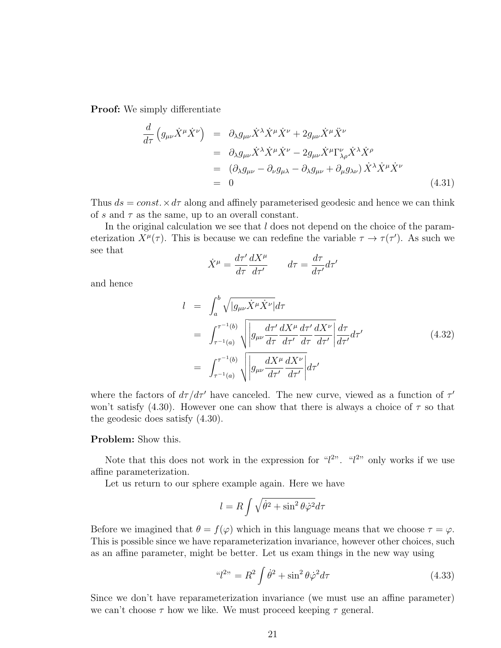Proof: We simply differentiate

$$
\frac{d}{d\tau} \left( g_{\mu\nu} \dot{X}^{\mu} \dot{X}^{\nu} \right) = \partial_{\lambda} g_{\mu\nu} \dot{X}^{\lambda} \dot{X}^{\mu} \dot{X}^{\nu} + 2 g_{\mu\nu} \dot{X}^{\mu} \ddot{X}^{\nu} \n= \partial_{\lambda} g_{\mu\nu} \dot{X}^{\lambda} \dot{X}^{\mu} \dot{X}^{\nu} - 2 g_{\mu\nu} \dot{X}^{\mu} \Gamma^{\nu}_{\lambda\rho} \dot{X}^{\lambda} \dot{X}^{\rho} \n= (\partial_{\lambda} g_{\mu\nu} - \partial_{\nu} g_{\mu\lambda} - \partial_{\lambda} g_{\mu\nu} + \partial_{\mu} g_{\lambda\nu}) \dot{X}^{\lambda} \dot{X}^{\mu} \dot{X}^{\nu} \n= 0
$$
\n(4.31)

Thus  $ds = const. \times d\tau$  along and affinely parameterised geodesic and hence we can think of s and  $\tau$  as the same, up to an overall constant.

In the original calculation we see that  $l$  does not depend on the choice of the parameterization  $X^{\mu}(\tau)$ . This is because we can redefine the variable  $\tau \to \tau(\tau')$ . As such we see that

$$
\dot{X}^{\mu} = \frac{d\tau'}{d\tau} \frac{dX^{\mu}}{d\tau'} \qquad d\tau = \frac{d\tau}{d\tau'} d\tau'
$$

and hence

$$
l = \int_{a}^{b} \sqrt{|g_{\mu\nu}\dot{X}^{\mu}\dot{X}^{\nu}|} d\tau
$$
  
\n
$$
= \int_{\tau^{-1}(a)}^{\tau^{-1}(b)} \sqrt{|g_{\mu\nu}\frac{d\tau'}{d\tau}\frac{dX^{\mu}}{d\tau'}\frac{dX^{\nu}}{d\tau'}|} \frac{d\tau}{d\tau'} d\tau'
$$
  
\n
$$
= \int_{\tau^{-1}(a)}^{\tau^{-1}(b)} \sqrt{|g_{\mu\nu}\frac{dX^{\mu}}{d\tau'}\frac{dX^{\nu}}{d\tau'}|} d\tau'
$$
(4.32)

where the factors of  $d\tau/d\tau'$  have canceled. The new curve, viewed as a function of  $\tau'$ won't satisfy (4.30). However one can show that there is always a choice of  $\tau$  so that the geodesic does satisfy (4.30).

#### Problem: Show this.

Note that this does not work in the expression for " $l^{2}$ ". " $l^{2}$ " only works if we use affine parameterization.

Let us return to our sphere example again. Here we have

$$
l = R \int \sqrt{\dot{\theta}^2 + \sin^2 \theta \dot{\varphi}^2} d\tau
$$

Before we imagined that  $\theta = f(\varphi)$  which in this language means that we choose  $\tau = \varphi$ . This is possible since we have reparameterization invariance, however other choices, such as an affine parameter, might be better. Let us exam things in the new way using

$$
^{\omega}l^{2n} = R^2 \int \dot{\theta}^2 + \sin^2 \theta \dot{\varphi}^2 d\tau \tag{4.33}
$$

Since we don't have reparameterization invariance (we must use an affine parameter) we can't choose  $\tau$  how we like. We must proceed keeping  $\tau$  general.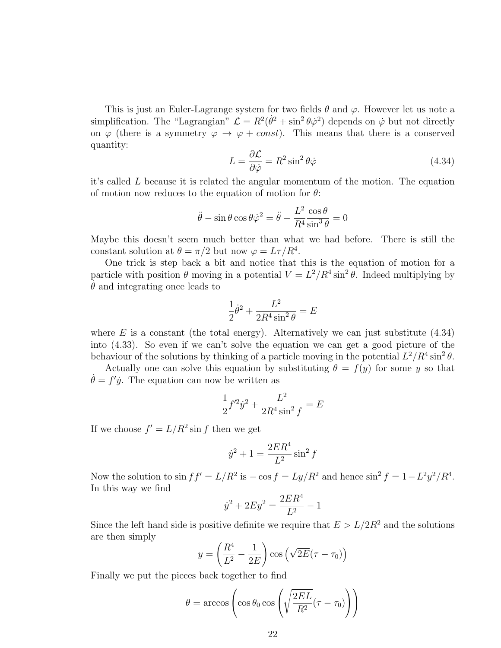This is just an Euler-Lagrange system for two fields  $\theta$  and  $\varphi$ . However let us note a simplification. The "Lagrangian"  $\mathcal{L} = R^2(\dot{\theta}^2 + \sin^2 \theta \dot{\varphi}^2)$  depends on  $\dot{\varphi}$  but not directly on  $\varphi$  (there is a symmetry  $\varphi \to \varphi + const$ ). This means that there is a conserved quantity:

$$
L = \frac{\partial \mathcal{L}}{\partial \dot{\varphi}} = R^2 \sin^2 \theta \dot{\varphi}
$$
 (4.34)

it's called L because it is related the angular momentum of the motion. The equation of motion now reduces to the equation of motion for  $\theta$ :

$$
\ddot{\theta} - \sin \theta \cos \theta \dot{\varphi}^2 = \ddot{\theta} - \frac{L^2}{R^4} \frac{\cos \theta}{\sin^3 \theta} = 0
$$

Maybe this doesn't seem much better than what we had before. There is still the constant solution at  $\theta = \pi/2$  but now  $\varphi = L\tau/R^4$ .

One trick is step back a bit and notice that this is the equation of motion for a particle with position  $\theta$  moving in a potential  $V = L^2/R^4 \sin^2 \theta$ . Indeed multiplying by  $\theta$  and integrating once leads to

$$
\frac{1}{2}\dot{\theta}^2+\frac{L^2}{2R^4\sin^2\theta}=E
$$

where  $E$  is a constant (the total energy). Alternatively we can just substitute  $(4.34)$ into (4.33). So even if we can't solve the equation we can get a good picture of the behaviour of the solutions by thinking of a particle moving in the potential  $L^2/R^4 \sin^2 \theta$ .

Actually one can solve this equation by substituting  $\theta = f(y)$  for some y so that  $\dot{\theta} = f' \dot{y}$ . The equation can now be written as

$$
\frac{1}{2}f'^2\dot{y}^2 + \frac{L^2}{2R^4\sin^2 f} = E
$$

If we choose  $f' = L/R^2 \sin f$  then we get

$$
\dot{y}^2+1=\frac{2ER^4}{L^2}\sin^2f
$$

Now the solution to  $\sin f f' = L/R^2$  is  $-\cos f = Ly/R^2$  and hence  $\sin^2 f = 1 - L^2 y^2/R^4$ . In this way we find

$$
\dot{y}^2 + 2Ey^2 = \frac{2ER^4}{L^2} - 1
$$

Since the left hand side is positive definite we require that  $E > L/2R^2$  and the solutions are then simply

$$
y = \left(\frac{R^4}{L^2} - \frac{1}{2E}\right)\cos\left(\sqrt{2E}(\tau - \tau_0)\right)
$$

Finally we put the pieces back together to find

$$
\theta = \arccos\left(\cos\theta_0 \cos\left(\sqrt{\frac{2EL}{R^2}}(\tau - \tau_0)\right)\right)
$$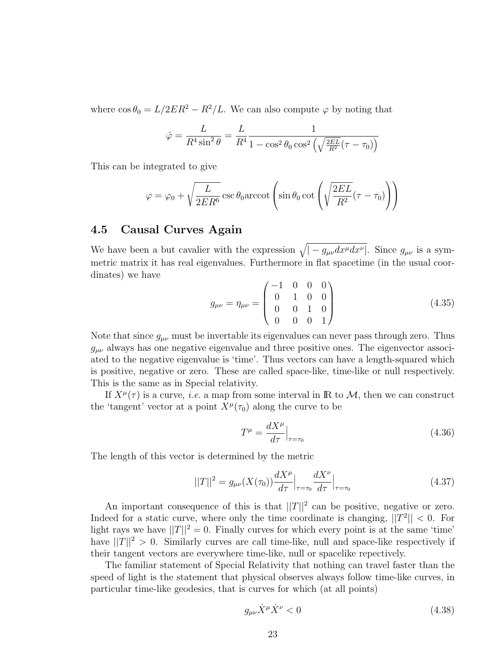where  $\cos \theta_0 = L/2ER^2 - R^2/L$ . We can also compute  $\varphi$  by noting that

$$
\dot{\varphi} = \frac{L}{R^4 \sin^2 \theta} = \frac{L}{R^4} \frac{1}{1 - \cos^2 \theta_0 \cos^2 \left(\sqrt{\frac{2EL}{R^2}} (\tau - \tau_0)\right)}
$$

This can be integrated to give

$$
\varphi = \varphi_0 + \sqrt{\frac{L}{2ER^6}} \csc \theta_0 \operatorname{arccot} \left( \sin \theta_0 \cot \left( \sqrt{\frac{2EL}{R^2}} (\tau - \tau_0) \right) \right)
$$

### 4.5 Causal Curves Again

We have been a but cavalier with the expression  $\sqrt{|-g_{\mu\nu}dx^{\mu}dx^{\nu}|}$ . Since  $g_{\mu\nu}$  is a symmetric matrix it has real eigenvalues. Furthermore in flat spacetime (in the usual coordinates) we have

$$
g_{\mu\nu} = \eta_{\mu\nu} = \begin{pmatrix} -1 & 0 & 0 & 0 \\ 0 & 1 & 0 & 0 \\ 0 & 0 & 1 & 0 \\ 0 & 0 & 0 & 1 \end{pmatrix}
$$
(4.35)

Note that since  $g_{\mu\nu}$  must be invertable its eigenvalues can never pass through zero. Thus  $g_{\mu\nu}$  always has one negative eigenvalue and three positive ones. The eigenvector associated to the negative eigenvalue is 'time'. Thus vectors can have a length-squared which is positive, negative or zero. These are called space-like, time-like or null respectively. This is the same as in Special relativity.

If  $X^{\mu}(\tau)$  is a curve, *i.e.* a map from some interval in **R** to M, then we can construct the 'tangent' vector at a point  $X^{\mu}(\tau_0)$  along the curve to be

$$
T^{\mu} = \frac{dX^{\mu}}{d\tau}\Big|_{\tau = \tau_0} \tag{4.36}
$$

The length of this vector is determined by the metric

$$
||T||^2 = g_{\mu\nu}(X(\tau_0))\frac{dX^{\mu}}{d\tau}\Big|_{\tau=\tau_0}\frac{dX^{\nu}}{d\tau}\Big|_{\tau=\tau_0}
$$
\n(4.37)

An important consequence of this is that  $||T||^2$  can be positive, negative or zero. Indeed for a static curve, where only the time coordinate is changing,  $||T^2|| < 0$ . For light rays we have  $||T||^2 = 0$ . Finally curves for which every point is at the same 'time' have  $||T||^2 > 0$ . Similarly curves are call time-like, null and space-like respectively if their tangent vectors are everywhere time-like, null or spacelike repectively.

The familiar statement of Special Relativity that nothing can travel faster than the speed of light is the statement that physical observes always follow time-like curves, in particular time-like geodesics, that is curves for which (at all points)

$$
g_{\mu\nu}\dot{X}^{\mu}\dot{X}^{\nu} < 0 \tag{4.38}
$$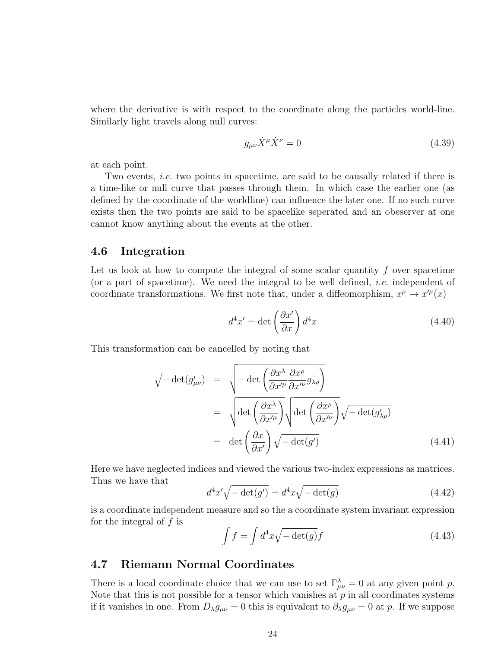where the derivative is with respect to the coordinate along the particles world-line. Similarly light travels along null curves:

$$
g_{\mu\nu}\dot{X}^{\mu}\dot{X}^{\nu} = 0 \tag{4.39}
$$

at each point.

Two events, *i.e.* two points in spacetime, are said to be causally related if there is a time-like or null curve that passes through them. In which case the earlier one (as defined by the coordinate of the worldline) can influence the later one. If no such curve exists then the two points are said to be spacelike seperated and an obeserver at one cannot know anything about the events at the other.

#### 4.6 Integration

Let us look at how to compute the integral of some scalar quantity  $f$  over spacetime (or a part of spacetime). We need the integral to be well defined, i.e. independent of coordinate transformations. We first note that, under a diffeomorphism,  $x^{\mu} \to x'^{\mu}(x)$ 

$$
d^4x' = \det\left(\frac{\partial x'}{\partial x}\right)d^4x\tag{4.40}
$$

This transformation can be cancelled by noting that

$$
\sqrt{-\det(g'_{\mu\nu})} = \sqrt{-\det\left(\frac{\partial x^{\lambda}}{\partial x'^{\mu}}\frac{\partial x^{\rho}}{\partial x'^{\nu}}g_{\lambda\rho}\right)}
$$
  

$$
= \sqrt{\det\left(\frac{\partial x^{\lambda}}{\partial x'^{\mu}}\right)}\sqrt{\det\left(\frac{\partial x^{\rho}}{\partial x'^{\nu}}\right)}\sqrt{-\det(g'_{\lambda\rho})}
$$
  

$$
= \det\left(\frac{\partial x}{\partial x'}\right)\sqrt{-\det(g')} \qquad (4.41)
$$

Here we have neglected indices and viewed the various two-index expressions as matrices. Thus we have that

$$
d^4x'\sqrt{-\det(g')} = d^4x\sqrt{-\det(g)}
$$
\n(4.42)

is a coordinate independent measure and so the a coordinate system invariant expression for the integral of  $f$  is

$$
\int f = \int d^4x \sqrt{-\det(g)} f \tag{4.43}
$$

#### 4.7 Riemann Normal Coordinates

There is a local coordinate choice that we can use to set  $\Gamma_{\mu\nu}^{\lambda} = 0$  at any given point p. Note that this is not possible for a tensor which vanishes at  $p$  in all coordinates systems if it vanishes in one. From  $D_{\lambda}g_{\mu\nu}=0$  this is equivalent to  $\partial_{\lambda}g_{\mu\nu}=0$  at p. If we suppose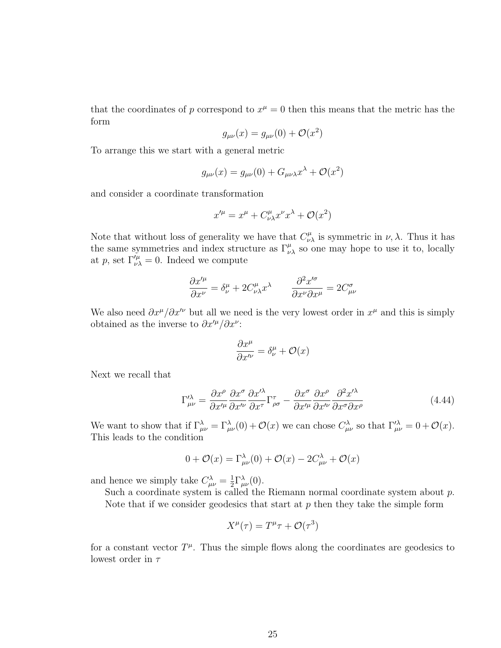that the coordinates of p correspond to  $x^{\mu} = 0$  then this means that the metric has the form

$$
g_{\mu\nu}(x) = g_{\mu\nu}(0) + \mathcal{O}(x^2)
$$

To arrange this we start with a general metric

$$
g_{\mu\nu}(x) = g_{\mu\nu}(0) + G_{\mu\nu\lambda}x^{\lambda} + \mathcal{O}(x^2)
$$

and consider a coordinate transformation

$$
x^{\prime \mu} = x^{\mu} + C^{\mu}_{\nu \lambda} x^{\nu} x^{\lambda} + \mathcal{O}(x^2)
$$

Note that without loss of generality we have that  $C^{\mu}_{\nu\lambda}$  is symmetric in  $\nu, \lambda$ . Thus it has the same symmetries and index structure as  $\Gamma^{\mu}_{\nu\lambda}$  so one may hope to use it to, locally at p, set  $\Gamma_{\nu\lambda}^{\prime\mu} = 0$ . Indeed we compute

$$
\frac{\partial x^{\prime \mu}}{\partial x^{\nu}} = \delta^{\mu}_{\nu} + 2C^{\mu}_{\nu\lambda}x^{\lambda} \qquad \frac{\partial^2 x^{\prime \sigma}}{\partial x^{\nu} \partial x^{\mu}} = 2C^{\sigma}_{\mu\nu}
$$

We also need  $\partial x^{\mu}/\partial x^{\prime\nu}$  but all we need is the very lowest order in  $x^{\mu}$  and this is simply obtained as the inverse to  $\partial x'^{\mu}/\partial x^{\nu}$ :

$$
\frac{\partial x^{\mu}}{\partial x'^{\nu}} = \delta^{\mu}_{\nu} + \mathcal{O}(x)
$$

Next we recall that

$$
\Gamma^{\prime \lambda}_{\mu \nu} = \frac{\partial x^{\rho}}{\partial x^{\prime \mu}} \frac{\partial x^{\sigma}}{\partial x^{\prime \nu}} \frac{\partial x^{\prime \lambda}}{\partial x^{\tau}} \Gamma^{\tau}_{\rho \sigma} - \frac{\partial x^{\sigma}}{\partial x^{\prime \mu}} \frac{\partial x^{\rho}}{\partial x^{\prime \nu}} \frac{\partial^{2} x^{\prime \lambda}}{\partial x^{\sigma} \partial x^{\rho}}
$$
(4.44)

We want to show that if  $\Gamma_{\mu\nu}^{\lambda} = \Gamma_{\mu\nu}^{\lambda}(0) + \mathcal{O}(x)$  we can chose  $C_{\mu\nu}^{\lambda}$  so that  $\Gamma_{\mu\nu}^{\lambda} = 0 + \mathcal{O}(x)$ . This leads to the condition

$$
0 + \mathcal{O}(x) = \Gamma^{\lambda}_{\mu\nu}(0) + \mathcal{O}(x) - 2C^{\lambda}_{\mu\nu} + \mathcal{O}(x)
$$

and hence we simply take  $C_{\mu\nu}^{\lambda} = \frac{1}{2}$  $\frac{1}{2}\Gamma^{\lambda}_{\mu\nu}(0).$ 

Such a coordinate system is called the Riemann normal coordinate system about p. Note that if we consider geodesics that start at  $p$  then they take the simple form

$$
X^{\mu}(\tau) = T^{\mu}\tau + \mathcal{O}(\tau^3)
$$

for a constant vector  $T^{\mu}$ . Thus the simple flows along the coordinates are geodesics to lowest order in  $\tau$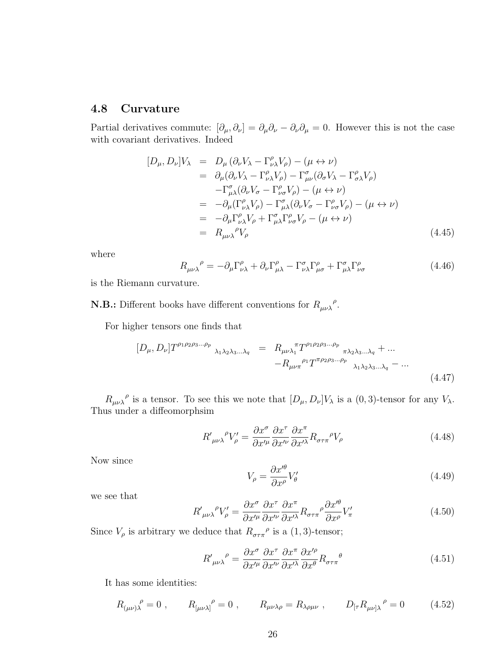#### 4.8 Curvature

Partial derivatives commute:  $[\partial_\mu, \partial_\nu] = \partial_\mu \partial_\nu - \partial_\nu \partial_\mu = 0$ . However this is not the case with covariant derivatives. Indeed

$$
[D_{\mu}, D_{\nu}]V_{\lambda} = D_{\mu} (\partial_{\nu} V_{\lambda} - \Gamma^{\rho}_{\nu\lambda} V_{\rho}) - (\mu \leftrightarrow \nu)
$$
  
\n
$$
= \partial_{\mu} (\partial_{\nu} V_{\lambda} - \Gamma^{\rho}_{\nu\lambda} V_{\rho}) - \Gamma^{\sigma}_{\mu\nu} (\partial_{\sigma} V_{\lambda} - \Gamma^{\rho}_{\sigma\lambda} V_{\rho})
$$
  
\n
$$
- \Gamma^{\sigma}_{\mu\lambda} (\partial_{\nu} V_{\sigma} - \Gamma^{\rho}_{\nu\sigma} V_{\rho}) - (\mu \leftrightarrow \nu)
$$
  
\n
$$
= -\partial_{\mu} (\Gamma^{\rho}_{\nu\lambda} V_{\rho}) - \Gamma^{\sigma}_{\mu\lambda} (\partial_{\nu} V_{\sigma} - \Gamma^{\rho}_{\nu\sigma} V_{\rho}) - (\mu \leftrightarrow \nu)
$$
  
\n
$$
= -\partial_{\mu} \Gamma^{\rho}_{\nu\lambda} V_{\rho} + \Gamma^{\sigma}_{\mu\lambda} \Gamma^{\rho}_{\nu\sigma} V_{\rho} - (\mu \leftrightarrow \nu)
$$
  
\n
$$
= R_{\mu\nu\lambda}{}^{\rho} V_{\rho}
$$
 (4.45)

where

$$
R_{\mu\nu\lambda}{}^{\rho} = -\partial_{\mu}\Gamma^{\rho}_{\nu\lambda} + \partial_{\nu}\Gamma^{\rho}_{\mu\lambda} - \Gamma^{\sigma}_{\nu\lambda}\Gamma^{\rho}_{\mu\sigma} + \Gamma^{\sigma}_{\mu\lambda}\Gamma^{\rho}_{\nu\sigma}
$$
(4.46)

is the Riemann curvature.

**N.B.:** Different books have different conventions for  $R_{\mu\nu\lambda}^{\rho}$ .

For higher tensors one finds that

$$
[D_{\mu}, D_{\nu}]T^{\rho_1 \rho_2 \rho_3 \dots \rho_p}{}_{\lambda_1 \lambda_2 \lambda_3 \dots \lambda_q} = R_{\mu\nu \lambda_1}{}^{\pi} T^{\rho_1 \rho_2 \rho_3 \dots \rho_p}{}_{\pi \lambda_2 \lambda_3 \dots \lambda_q} + \dots
$$

$$
-R_{\mu\nu \pi}{}^{\rho_1} T^{\pi \rho_2 \rho_3 \dots \rho_p}{}_{\lambda_1 \lambda_2 \lambda_3 \dots \lambda_q} - \dots
$$
(4.47)

 $R_{\mu\nu\lambda}^{\mu\nu}$  is a tensor. To see this we note that  $[D_{\mu}, D_{\nu}]V_{\lambda}$  is a  $(0, 3)$ -tensor for any  $V_{\lambda}$ . Thus under a diffeomorphsim

$$
R'_{\mu\nu\lambda}{}^{\rho}V'_{\rho} = \frac{\partial x^{\sigma}}{\partial x'^{\mu}} \frac{\partial x^{\tau}}{\partial x'^{\nu}} \frac{\partial x^{\pi}}{\partial x'^{\lambda}} R_{\sigma\tau\pi}{}^{\rho}V_{\rho}
$$
(4.48)

Now since

$$
V_{\rho} = \frac{\partial x^{\prime \theta}}{\partial x^{\rho}} V_{\theta}^{\prime}
$$
 (4.49)

we see that

$$
R'_{\mu\nu\lambda}{}^{\rho}V'_{\rho} = \frac{\partial x^{\sigma}}{\partial x'^{\mu}} \frac{\partial x^{\tau}}{\partial x'^{\nu}} \frac{\partial x^{\pi}}{\partial x'^{\lambda}} R_{\sigma\tau\pi}{}^{\rho} \frac{\partial x'^{\theta}}{\partial x^{\rho}} V'_{\pi}
$$
(4.50)

Since  $V_{\rho}$  is arbitrary we deduce that  $R_{\sigma\tau\pi}^{\rho}$  is a (1,3)-tensor;

$$
R'_{\mu\nu\lambda}{}^{\rho} = \frac{\partial x^{\sigma}}{\partial x'^{\mu}} \frac{\partial x^{\tau}}{\partial x'^{\nu}} \frac{\partial x^{\pi}}{\partial x'^{\lambda}} \frac{\partial x'^{\rho}}{\partial x^{\theta}} R_{\sigma\tau\pi}{}^{\theta} \tag{4.51}
$$

It has some identities:

$$
R_{(\mu\nu)\lambda}^{\rho} = 0
$$
,  $R_{[\mu\nu\lambda]}^{\rho} = 0$ ,  $R_{\mu\nu\lambda\rho} = R_{\lambda\rho\mu\nu}$ ,  $D_{[\tau}R_{\mu\nu]\lambda}^{\rho} = 0$  (4.52)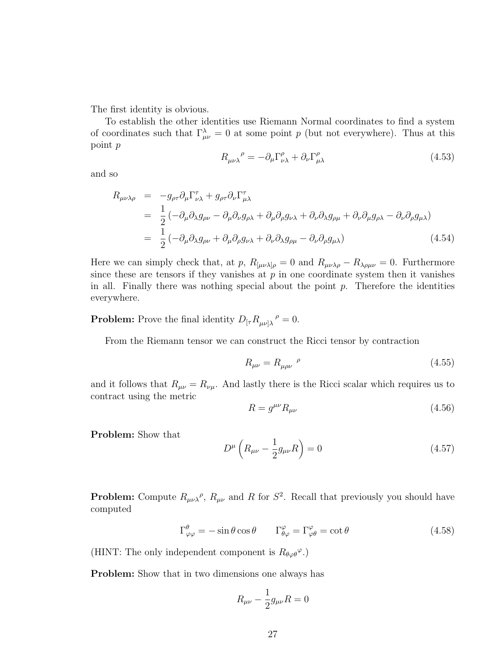The first identity is obvious.

To establish the other identities use Riemann Normal coordinates to find a system of coordinates such that  $\Gamma_{\mu\nu}^{\lambda} = 0$  at some point p (but not everywhere). Thus at this point p

$$
R_{\mu\nu\lambda}^{\ \ \rho} = -\partial_{\mu} \Gamma^{\rho}_{\nu\lambda} + \partial_{\nu} \Gamma^{\rho}_{\mu\lambda} \tag{4.53}
$$

and so

$$
R_{\mu\nu\lambda\rho} = -g_{\rho\tau}\partial_{\mu}\Gamma_{\nu\lambda}^{\tau} + g_{\rho\tau}\partial_{\nu}\Gamma_{\mu\lambda}^{\tau}
$$
  
\n
$$
= \frac{1}{2} \left( -\partial_{\mu}\partial_{\lambda}g_{\rho\nu} - \partial_{\mu}\partial_{\nu}g_{\rho\lambda} + \partial_{\mu}\partial_{\rho}g_{\nu\lambda} + \partial_{\nu}\partial_{\lambda}g_{\rho\mu} + \partial_{\nu}\partial_{\mu}g_{\rho\lambda} - \partial_{\nu}\partial_{\rho}g_{\mu\lambda} \right)
$$
  
\n
$$
= \frac{1}{2} \left( -\partial_{\mu}\partial_{\lambda}g_{\rho\nu} + \partial_{\mu}\partial_{\rho}g_{\nu\lambda} + \partial_{\nu}\partial_{\lambda}g_{\rho\mu} - \partial_{\nu}\partial_{\rho}g_{\mu\lambda} \right)
$$
(4.54)

Here we can simply check that, at p,  $R_{\mu\nu\lambda\rho} = 0$  and  $R_{\mu\nu\lambda\rho} - R_{\lambda\rho\mu\nu} = 0$ . Furthermore since these are tensors if they vanishes at  $p$  in one coordinate system then it vanishes in all. Finally there was nothing special about the point  $p$ . Therefore the identities everywhere.

**Problem:** Prove the final identity  $D_{\lbrack \tau}R_{\mu\nu\rbrack\lambda}^{\rho}=0.$ 

From the Riemann tensor we can construct the Ricci tensor by contraction

$$
R_{\mu\nu} = R_{\mu\rho\nu}^{\quad \rho} \tag{4.55}
$$

and it follows that  $R_{\mu\nu} = R_{\nu\mu}$ . And lastly there is the Ricci scalar which requires us to contract using the metric

$$
R = g^{\mu\nu} R_{\mu\nu} \tag{4.56}
$$

Problem: Show that

$$
D^{\mu} \left( R_{\mu \nu} - \frac{1}{2} g_{\mu \nu} R \right) = 0 \tag{4.57}
$$

**Problem:** Compute  $R_{\mu\nu\lambda}^{\rho}$ ,  $R_{\mu\nu}$  and R for  $S^2$ . Recall that previously you should have computed

$$
\Gamma^{\theta}_{\varphi\varphi} = -\sin\theta\cos\theta \qquad \Gamma^{\varphi}_{\theta\varphi} = \Gamma^{\varphi}_{\varphi\theta} = \cot\theta \tag{4.58}
$$

(HINT: The only independent component is  $R_{\theta\varphi\theta}^{\varphi}$ .)

Problem: Show that in two dimensions one always has

$$
R_{\mu\nu}-\frac{1}{2}g_{\mu\nu}R=0
$$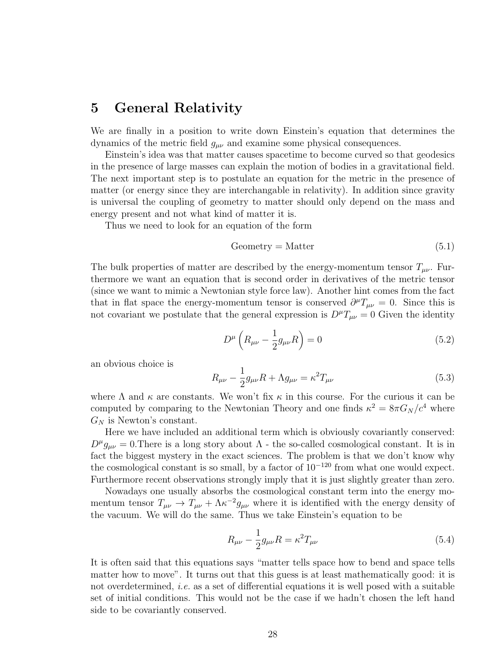### 5 General Relativity

We are finally in a position to write down Einstein's equation that determines the dynamics of the metric field  $g_{\mu\nu}$  and examine some physical consequences.

Einstein's idea was that matter causes spacetime to become curved so that geodesics in the presence of large masses can explain the motion of bodies in a gravitational field. The next important step is to postulate an equation for the metric in the presence of matter (or energy since they are interchangable in relativity). In addition since gravity is universal the coupling of geometry to matter should only depend on the mass and energy present and not what kind of matter it is.

Thus we need to look for an equation of the form

Geometry = Matter 
$$
(5.1)
$$

The bulk properties of matter are described by the energy-momentum tensor  $T_{\mu\nu}$ . Furthermore we want an equation that is second order in derivatives of the metric tensor (since we want to mimic a Newtonian style force law). Another hint comes from the fact that in flat space the energy-momentum tensor is conserved  $\partial^{\mu}T_{\mu\nu} = 0$ . Since this is not covariant we postulate that the general expression is  $D^{\mu}T_{\mu\nu} = 0$  Given the identity

$$
D^{\mu} \left( R_{\mu \nu} - \frac{1}{2} g_{\mu \nu} R \right) = 0 \tag{5.2}
$$

an obvious choice is

$$
R_{\mu\nu} - \frac{1}{2}g_{\mu\nu}R + \Lambda g_{\mu\nu} = \kappa^2 T_{\mu\nu}
$$
 (5.3)

where  $\Lambda$  and  $\kappa$  are constants. We won't fix  $\kappa$  in this course. For the curious it can be computed by comparing to the Newtonian Theory and one finds  $\kappa^2 = 8\pi G_N/c^4$  where  $G_N$  is Newton's constant.

Here we have included an additional term which is obviously covariantly conserved:  $D^{\mu}g_{\mu\nu} = 0$ . There is a long story about  $\Lambda$  - the so-called cosmological constant. It is in fact the biggest mystery in the exact sciences. The problem is that we don't know why the cosmological constant is so small, by a factor of  $10^{-120}$  from what one would expect. Furthermore recent observations strongly imply that it is just slightly greater than zero.

Nowadays one usually absorbs the cosmological constant term into the energy momentum tensor  $T_{\mu\nu} \to T_{\mu\nu} + \Lambda \kappa^{-2} g_{\mu\nu}$  where it is identified with the energy density of the vacuum. We will do the same. Thus we take Einstein's equation to be

$$
R_{\mu\nu} - \frac{1}{2}g_{\mu\nu}R = \kappa^2 T_{\mu\nu}
$$
\n(5.4)

It is often said that this equations says "matter tells space how to bend and space tells matter how to move". It turns out that this guess is at least mathematically good: it is not overdetermined, i.e. as a set of differential equations it is well posed with a suitable set of initial conditions. This would not be the case if we hadn't chosen the left hand side to be covariantly conserved.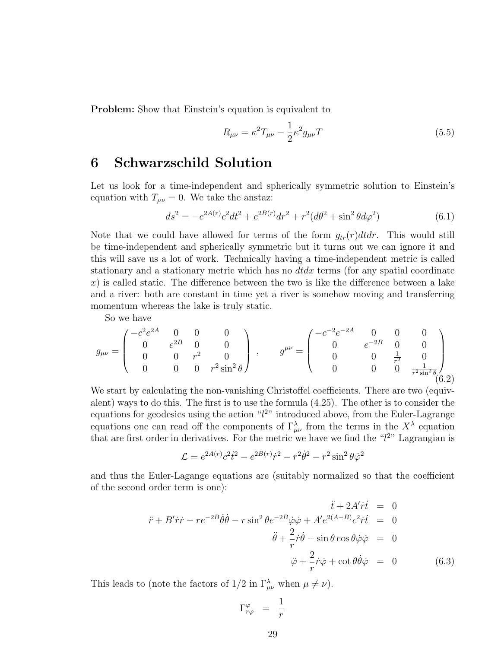Problem: Show that Einstein's equation is equivalent to

$$
R_{\mu\nu} = \kappa^2 T_{\mu\nu} - \frac{1}{2} \kappa^2 g_{\mu\nu} T \tag{5.5}
$$

### 6 Schwarzschild Solution

Let us look for a time-independent and spherically symmetric solution to Einstein's equation with  $T_{\mu\nu} = 0$ . We take the anstaz:

$$
ds^{2} = -e^{2A(r)}c^{2}dt^{2} + e^{2B(r)}dr^{2} + r^{2}(d\theta^{2} + \sin^{2}\theta d\varphi^{2})
$$
\n(6.1)

Note that we could have allowed for terms of the form  $g_{tr}(r)dtdr$ . This would still be time-independent and spherically symmetric but it turns out we can ignore it and this will save us a lot of work. Technically having a time-independent metric is called stationary and a stationary metric which has no  $dtdx$  terms (for any spatial coordinate  $x$ ) is called static. The difference between the two is like the difference between a lake and a river: both are constant in time yet a river is somehow moving and transferring momentum whereas the lake is truly static.

So we have

$$
g_{\mu\nu} = \begin{pmatrix} -c^2 e^{2A} & 0 & 0 & 0 \\ 0 & e^{2B} & 0 & 0 \\ 0 & 0 & r^2 & 0 \\ 0 & 0 & 0 & r^2 \sin^2 \theta \end{pmatrix} , \qquad g^{\mu\nu} = \begin{pmatrix} -c^{-2} e^{-2A} & 0 & 0 & 0 \\ 0 & e^{-2B} & 0 & 0 \\ 0 & 0 & \frac{1}{r^2} & 0 \\ 0 & 0 & 0 & \frac{1}{r^2 \sin^2 \theta} \\ 0 & 0 & 0 & \frac{1}{r^2 \sin^2 \theta} \end{pmatrix}
$$
 (6.2)

We start by calculating the non-vanishing Christoffel coefficients. There are two (equivalent) ways to do this. The first is to use the formula (4.25). The other is to consider the equations for geodesics using the action  $\mathscr{L}2$ " introduced above, from the Euler-Lagrange equations one can read off the components of  $\Gamma_{\mu\nu}^{\lambda}$  from the terms in the  $X^{\lambda}$  equation that are first order in derivatives. For the metric we have we find the " $l^{2}$ " Lagrangian is

$$
\mathcal{L} = e^{2A(r)}c^2\dot{t}^2 - e^{2B(r)}\dot{r}^2 - r^2\dot{\theta}^2 - r^2\sin^2\theta\dot{\varphi}^2
$$

and thus the Euler-Lagange equations are (suitably normalized so that the coefficient of the second order term is one):

$$
\ddot{t} + 2A'\dot{r}\dot{t} = 0
$$
  

$$
\ddot{r} + B'\dot{r}\dot{r} - re^{-2B}\dot{\theta}\dot{\theta} - r\sin^2\theta e^{-2B}\dot{\varphi}\dot{\varphi} + A'e^{2(A-B)}c^2\dot{r}\dot{t} = 0
$$
  

$$
\ddot{\theta} + \frac{2}{r}\dot{r}\dot{\theta} - \sin\theta\cos\theta\dot{\varphi}\dot{\varphi} = 0
$$
  

$$
\ddot{\varphi} + \frac{2}{r}\dot{r}\dot{\varphi} + \cot\theta\dot{\theta}\dot{\varphi} = 0
$$
(6.3)

This leads to (note the factors of  $1/2$  in  $\Gamma^{\lambda}_{\mu\nu}$  when  $\mu \neq \nu$ ).

$$
\Gamma^{\varphi}_{r\varphi} \;\;=\;\; \frac{1}{r}
$$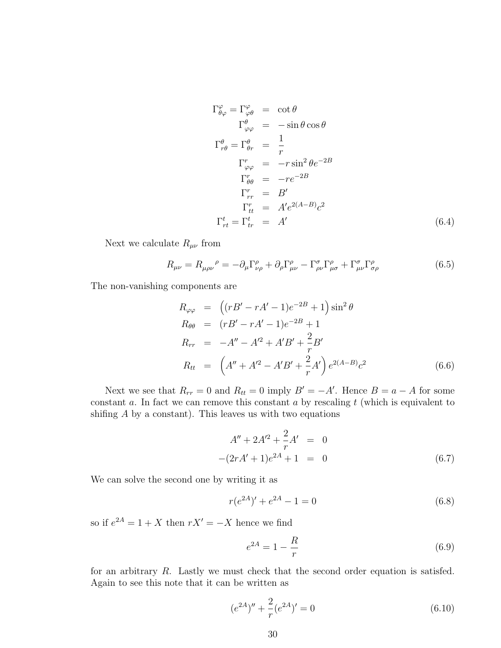$$
\Gamma^{\varphi}_{\theta\varphi} = \Gamma^{\varphi}_{\varphi\theta} = \cot\theta
$$
  
\n
$$
\Gamma^{\theta}_{\varphi\varphi} = -\sin\theta\cos\theta
$$
  
\n
$$
\Gamma^{\theta}_{r\theta} = \Gamma^{\theta}_{\theta r} = \frac{1}{r}
$$
  
\n
$$
\Gamma^r_{\varphi\varphi} = -r\sin^2\theta e^{-2B}
$$
  
\n
$$
\Gamma^r_{\theta\theta} = -re^{-2B}
$$
  
\n
$$
\Gamma^r_{rr} = B'
$$
  
\n
$$
\Gamma^r_{tt} = A'e^{2(A-B)}c^2
$$
  
\n
$$
\Gamma^t_{rt} = \Gamma^t_{tr} = A'
$$
 (6.4)

Next we calculate  $R_{\mu\nu}$  from

$$
R_{\mu\nu} = R_{\mu\rho\nu}{}^{\rho} = -\partial_{\mu}\Gamma^{\rho}_{\nu\rho} + \partial_{\rho}\Gamma^{\rho}_{\mu\nu} - \Gamma^{\sigma}_{\rho\nu}\Gamma^{\rho}_{\mu\sigma} + \Gamma^{\sigma}_{\mu\nu}\Gamma^{\rho}_{\sigma\rho} \tag{6.5}
$$

The non-vanishing components are

$$
R_{\varphi\varphi} = ((rB' - rA' - 1)e^{-2B} + 1)\sin^2\theta
$$
  
\n
$$
R_{\theta\theta} = (rB' - rA' - 1)e^{-2B} + 1
$$
  
\n
$$
R_{rr} = -A'' - A'^2 + A'B' + \frac{2}{r}B'
$$
  
\n
$$
R_{tt} = (A'' + A'^2 - A'B' + \frac{2}{r}A')e^{2(A-B)}c^2
$$
(6.6)

Next we see that  $R_{rr} = 0$  and  $R_{tt} = 0$  imply  $B' = -A'$ . Hence  $B = a - A$  for some constant  $a$ . In fact we can remove this constant  $a$  by rescaling  $t$  (which is equivalent to shifing  $A$  by a constant). This leaves us with two equations

$$
A'' + 2A'^2 + \frac{2}{r}A' = 0
$$
  
-(2rA' + 1)e<sup>2A</sup> + 1 = 0 (6.7)

We can solve the second one by writing it as

$$
r(e^{2A})' + e^{2A} - 1 = 0
$$
\n(6.8)

so if  $e^{2A} = 1 + X$  then  $rX' = -X$  hence we find

$$
e^{2A} = 1 - \frac{R}{r}
$$
 (6.9)

for an arbitrary R. Lastly we must check that the second order equation is satisfed. Again to see this note that it can be written as

$$
(e^{2A})'' + \frac{2}{r}(e^{2A})' = 0
$$
\n(6.10)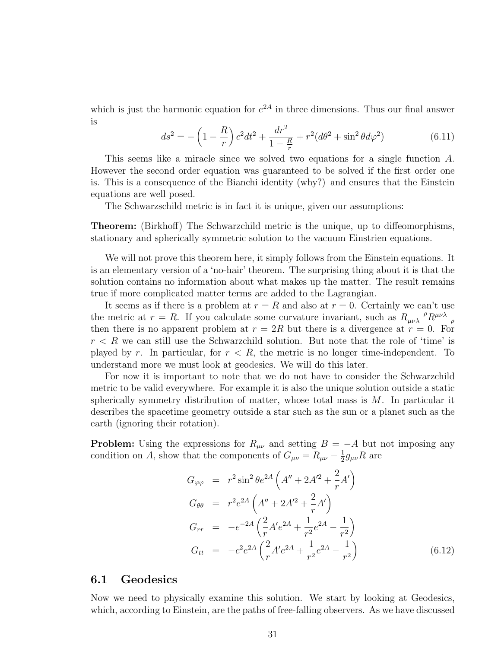which is just the harmonic equation for  $e^{2A}$  in three dimensions. Thus our final answer is

$$
ds^{2} = -\left(1 - \frac{R}{r}\right)c^{2}dt^{2} + \frac{dr^{2}}{1 - \frac{R}{r}} + r^{2}(d\theta^{2} + \sin^{2}\theta d\varphi^{2})
$$
(6.11)

This seems like a miracle since we solved two equations for a single function A. However the second order equation was guaranteed to be solved if the first order one is. This is a consequence of the Bianchi identity (why?) and ensures that the Einstein equations are well posed.

The Schwarzschild metric is in fact it is unique, given our assumptions:

Theorem: (Birkhoff) The Schwarzchild metric is the unique, up to diffeomorphisms, stationary and spherically symmetric solution to the vacuum Einstrien equations.

We will not prove this theorem here, it simply follows from the Einstein equations. It is an elementary version of a 'no-hair' theorem. The surprising thing about it is that the solution contains no information about what makes up the matter. The result remains true if more complicated matter terms are added to the Lagrangian.

It seems as if there is a problem at  $r = R$  and also at  $r = 0$ . Certainly we can't use the metric at  $r = R$ . If you calculate some curvature invariant, such as  $R_{\mu\nu\lambda}^{\mu}{}^{\rho}R^{\mu\nu\lambda}{}_{\rho}$ then there is no apparent problem at  $r = 2R$  but there is a divergence at  $r = 0$ . For  $r < R$  we can still use the Schwarzchild solution. But note that the role of 'time' is played by r. In particular, for  $r < R$ , the metric is no longer time-independent. To understand more we must look at geodesics. We will do this later.

For now it is important to note that we do not have to consider the Schwarzchild metric to be valid everywhere. For example it is also the unique solution outside a static spherically symmetry distribution of matter, whose total mass is  $M$ . In particular it describes the spacetime geometry outside a star such as the sun or a planet such as the earth (ignoring their rotation).

**Problem:** Using the expressions for  $R_{\mu\nu}$  and setting  $B = -A$  but not imposing any condition on A, show that the components of  $G_{\mu\nu} = R_{\mu\nu} - \frac{1}{2}$  $\frac{1}{2}g_{\mu\nu}R$  are

$$
G_{\varphi\varphi} = r^2 \sin^2 \theta e^{2A} \left( A'' + 2A'^2 + \frac{2}{r} A' \right)
$$
  
\n
$$
G_{\theta\theta} = r^2 e^{2A} \left( A'' + 2A'^2 + \frac{2}{r} A' \right)
$$
  
\n
$$
G_{rr} = -e^{-2A} \left( \frac{2}{r} A' e^{2A} + \frac{1}{r^2} e^{2A} - \frac{1}{r^2} \right)
$$
  
\n
$$
G_{tt} = -c^2 e^{2A} \left( \frac{2}{r} A' e^{2A} + \frac{1}{r^2} e^{2A} - \frac{1}{r^2} \right)
$$
\n(6.12)

#### 6.1 Geodesics

Now we need to physically examine this solution. We start by looking at Geodesics, which, according to Einstein, are the paths of free-falling observers. As we have discussed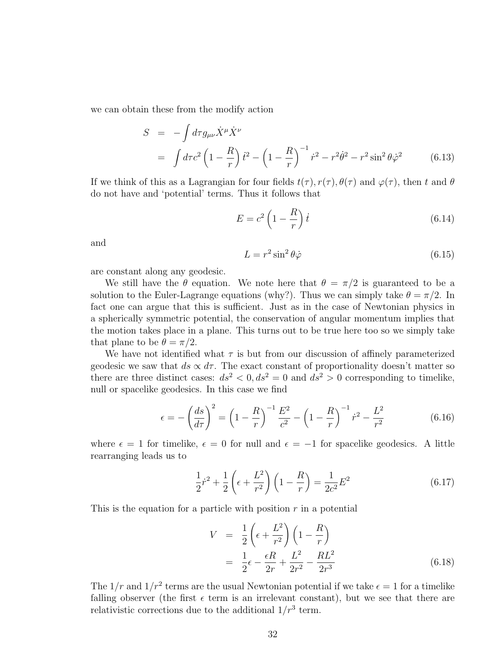we can obtain these from the modify action

$$
S = -\int d\tau g_{\mu\nu} \dot{X}^{\mu} \dot{X}^{\nu}
$$
  
=  $\int d\tau c^2 \left(1 - \frac{R}{r}\right) \dot{t}^2 - \left(1 - \frac{R}{r}\right)^{-1} \dot{r}^2 - r^2 \dot{\theta}^2 - r^2 \sin^2 \theta \dot{\varphi}^2$  (6.13)

If we think of this as a Lagrangian for four fields  $t(\tau)$ ,  $r(\tau)$ ,  $\theta(\tau)$  and  $\varphi(\tau)$ , then t and  $\theta$ do not have and 'potential' terms. Thus it follows that

$$
E = c^2 \left( 1 - \frac{R}{r} \right) \dot{t} \tag{6.14}
$$

and

$$
L = r^2 \sin^2 \theta \dot{\varphi} \tag{6.15}
$$

are constant along any geodesic.

We still have the  $\theta$  equation. We note here that  $\theta = \pi/2$  is guaranteed to be a solution to the Euler-Lagrange equations (why?). Thus we can simply take  $\theta = \pi/2$ . In fact one can argue that this is sufficient. Just as in the case of Newtonian physics in a spherically symmetric potential, the conservation of angular momentum implies that the motion takes place in a plane. This turns out to be true here too so we simply take that plane to be  $\theta = \pi/2$ .

We have not identified what  $\tau$  is but from our discussion of affinely parameterized geodesic we saw that  $ds \propto d\tau$ . The exact constant of proportionality doesn't matter so there are three distinct cases:  $ds^2 < 0, ds^2 = 0$  and  $ds^2 > 0$  corresponding to timelike, null or spacelike geodesics. In this case we find

$$
\epsilon = -\left(\frac{ds}{d\tau}\right)^2 = \left(1 - \frac{R}{r}\right)^{-1} \frac{E^2}{c^2} - \left(1 - \frac{R}{r}\right)^{-1} \dot{r}^2 - \frac{L^2}{r^2}
$$
(6.16)

where  $\epsilon = 1$  for timelike,  $\epsilon = 0$  for null and  $\epsilon = -1$  for spacelike geodesics. A little rearranging leads us to

$$
\frac{1}{2}\dot{r}^2 + \frac{1}{2}\left(\epsilon + \frac{L^2}{r^2}\right)\left(1 - \frac{R}{r}\right) = \frac{1}{2c^2}E^2\tag{6.17}
$$

This is the equation for a particle with position  $r$  in a potential

$$
V = \frac{1}{2} \left( \epsilon + \frac{L^2}{r^2} \right) \left( 1 - \frac{R}{r} \right)
$$
  
=  $\frac{1}{2} \epsilon - \frac{\epsilon R}{2r} + \frac{L^2}{2r^2} - \frac{RL^2}{2r^3}$  (6.18)

The  $1/r$  and  $1/r^2$  terms are the usual Newtonian potential if we take  $\epsilon = 1$  for a timelike falling observer (the first  $\epsilon$  term is an irrelevant constant), but we see that there are relativistic corrections due to the additional  $1/r^3$  term.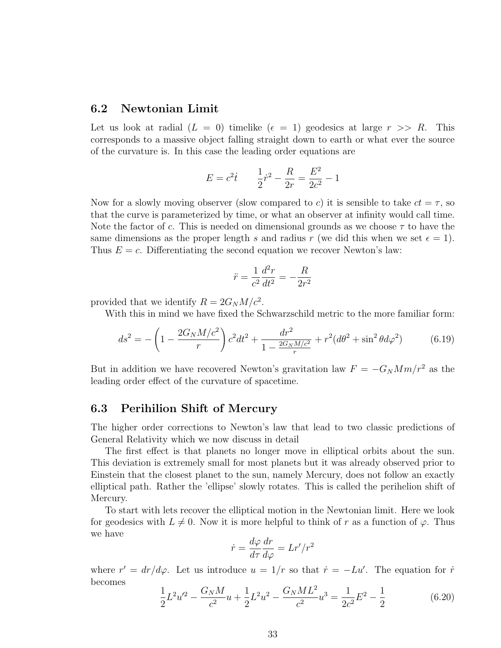#### 6.2 Newtonian Limit

Let us look at radial  $(L = 0)$  timelike  $(\epsilon = 1)$  geodesics at large  $r \gg R$ . This corresponds to a massive object falling straight down to earth or what ever the source of the curvature is. In this case the leading order equations are

$$
E = c^2 \dot{t} \qquad \frac{1}{2}\dot{r}^2 - \frac{R}{2r} = \frac{E^2}{2c^2} - 1
$$

Now for a slowly moving observer (slow compared to c) it is sensible to take  $ct = \tau$ , so that the curve is parameterized by time, or what an observer at infinity would call time. Note the factor of c. This is needed on dimensional grounds as we choose  $\tau$  to have the same dimensions as the proper length s and radius r (we did this when we set  $\epsilon = 1$ ). Thus  $E = c$ . Differentiating the second equation we recover Newton's law:

$$
\ddot{r} = \frac{1}{c^2} \frac{d^2r}{dt^2} = -\frac{R}{2r^2}
$$

provided that we identify  $R = 2G_N M/c^2$ .

With this in mind we have fixed the Schwarzschild metric to the more familiar form:

$$
ds^{2} = -\left(1 - \frac{2G_{N}M/c^{2}}{r}\right)c^{2}dt^{2} + \frac{dr^{2}}{1 - \frac{2G_{N}M/c^{2}}{r}} + r^{2}(d\theta^{2} + \sin^{2}\theta d\varphi^{2})
$$
(6.19)

But in addition we have recovered Newton's gravitation law  $F = -G_N M m/r^2$  as the leading order effect of the curvature of spacetime.

#### 6.3 Perihilion Shift of Mercury

The higher order corrections to Newton's law that lead to two classic predictions of General Relativity which we now discuss in detail

The first effect is that planets no longer move in elliptical orbits about the sun. This deviation is extremely small for most planets but it was already observed prior to Einstein that the closest planet to the sun, namely Mercury, does not follow an exactly elliptical path. Rather the 'ellipse' slowly rotates. This is called the perihelion shift of Mercury.

To start with lets recover the elliptical motion in the Newtonian limit. Here we look for geodesics with  $L \neq 0$ . Now it is more helpful to think of r as a function of  $\varphi$ . Thus we have

$$
\dot{r} = \frac{d\varphi}{d\tau} \frac{dr}{d\varphi} = Lr'/r^2
$$

where  $r' = dr/d\varphi$ . Let us introduce  $u = 1/r$  so that  $\dot{r} = -Lu'$ . The equation for  $\dot{r}$ becomes

$$
\frac{1}{2}L^2u'^2 - \frac{G_NM}{c^2}u + \frac{1}{2}L^2u^2 - \frac{G_NML^2}{c^2}u^3 = \frac{1}{2c^2}E^2 - \frac{1}{2}
$$
(6.20)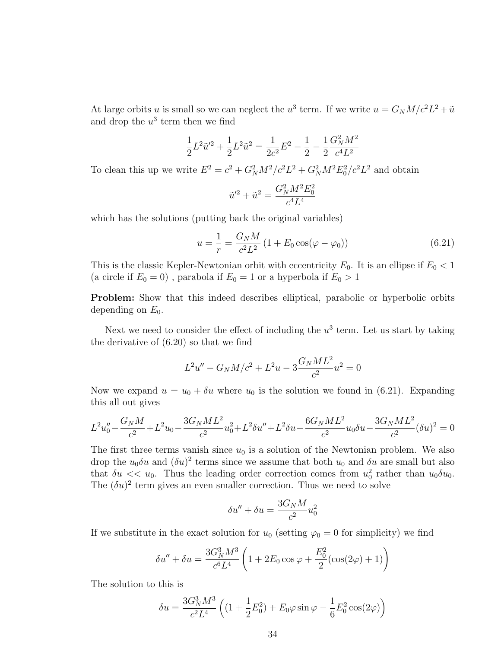At large orbits u is small so we can neglect the  $u^3$  term. If we write  $u = G_N M / c^2 L^2 + \tilde{u}$ and drop the  $u^3$  term then we find

$$
\frac{1}{2}L^2\tilde{u}'^2 + \frac{1}{2}L^2\tilde{u}^2 = \frac{1}{2c^2}E^2 - \frac{1}{2} - \frac{1}{2}\frac{G_N^2M^2}{c^4L^2}
$$

To clean this up we write  $E^2 = c^2 + G_N^2 M^2 / c^2 L^2 + G_N^2 M^2 E_0^2 / c^2 L^2$  and obtain

$$
\tilde{u}'^2 + \tilde{u}^2 = \frac{G_N^2 M^2 E_0^2}{c^4 L^4}
$$

which has the solutions (putting back the original variables)

$$
u = \frac{1}{r} = \frac{G_N M}{c^2 L^2} \left( 1 + E_0 \cos(\varphi - \varphi_0) \right)
$$
 (6.21)

This is the classic Kepler-Newtonian orbit with eccentricity  $E_0$ . It is an ellipse if  $E_0 < 1$ (a circle if  $E_0 = 0$ ), parabola if  $E_0 = 1$  or a hyperbola if  $E_0 > 1$ 

Problem: Show that this indeed describes elliptical, parabolic or hyperbolic orbits depending on  $E_0$ .

Next we need to consider the effect of including the  $u^3$  term. Let us start by taking the derivative of (6.20) so that we find

$$
L^{2}u'' - G_{N}M/c^{2} + L^{2}u - 3\frac{G_{N}ML^{2}}{c^{2}}u^{2} = 0
$$

Now we expand  $u = u_0 + \delta u$  where  $u_0$  is the solution we found in (6.21). Expanding this all out gives

$$
L^{2}u_{0}'' - \frac{G_{N}M}{c^{2}} + L^{2}u_{0} - \frac{3G_{N}ML^{2}}{c^{2}}u_{0}^{2} + L^{2}\delta u'' + L^{2}\delta u - \frac{6G_{N}ML^{2}}{c^{2}}u_{0}\delta u - \frac{3G_{N}ML^{2}}{c^{2}}(\delta u)^{2} = 0
$$

The first three terms vanish since  $u_0$  is a solution of the Newtonian problem. We also drop the  $u_0 \delta u$  and  $(\delta u)^2$  terms since we assume that both  $u_0$  and  $\delta u$  are small but also that  $\delta u \ll u_0$ . Thus the leading order correction comes from  $u_0^2$  rather than  $u_0 \delta u_0$ . The  $(\delta u)^2$  term gives an even smaller correction. Thus we need to solve

$$
\delta u'' + \delta u = \frac{3G_N M}{c^2} u_0^2
$$

If we substitute in the exact solution for  $u_0$  (setting  $\varphi_0 = 0$  for simplicity) we find

$$
\delta u'' + \delta u = \frac{3G_N^3 M^3}{c^6 L^4} \left( 1 + 2E_0 \cos \varphi + \frac{E_0^2}{2} (\cos(2\varphi) + 1) \right)
$$

The solution to this is

$$
\delta u = \frac{3G_N^3 M^3}{c^2 L^4} \left( (1 + \frac{1}{2} E_0^2) + E_0 \varphi \sin \varphi - \frac{1}{6} E_0^2 \cos(2\varphi) \right)
$$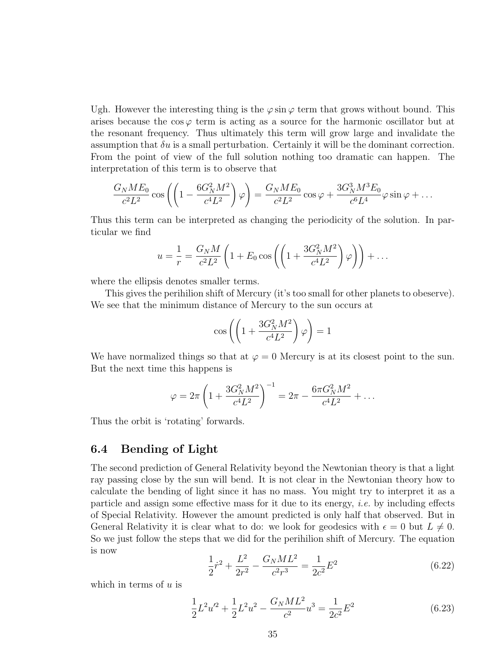Ugh. However the interesting thing is the  $\varphi \sin \varphi$  term that grows without bound. This arises because the  $\cos \varphi$  term is acting as a source for the harmonic oscillator but at the resonant frequency. Thus ultimately this term will grow large and invalidate the assumption that  $\delta u$  is a small perturbation. Certainly it will be the dominant correction. From the point of view of the full solution nothing too dramatic can happen. The interpretation of this term is to observe that

$$
\frac{G_N M E_0}{c^2 L^2} \cos\left(\left(1 - \frac{6G_N^2 M^2}{c^4 L^2}\right) \varphi\right) = \frac{G_N M E_0}{c^2 L^2} \cos\varphi + \frac{3G_N^3 M^3 E_0}{c^6 L^4} \varphi \sin\varphi + \dots
$$

Thus this term can be interpreted as changing the periodicity of the solution. In particular we find

$$
u = \frac{1}{r} = \frac{G_N M}{c^2 L^2} \left( 1 + E_0 \cos \left( \left( 1 + \frac{3G_N^2 M^2}{c^4 L^2} \right) \varphi \right) \right) + \dots
$$

where the ellipsis denotes smaller terms.

This gives the perihilion shift of Mercury (it's too small for other planets to obeserve). We see that the minimum distance of Mercury to the sun occurs at

$$
\cos\left(\left(1+\frac{3G_N^2M^2}{c^4L^2}\right)\varphi\right) = 1
$$

We have normalized things so that at  $\varphi = 0$  Mercury is at its closest point to the sun. But the next time this happens is

$$
\varphi = 2\pi \left( 1 + \frac{3G_N^2 M^2}{c^4 L^2} \right)^{-1} = 2\pi - \frac{6\pi G_N^2 M^2}{c^4 L^2} + \dots
$$

Thus the orbit is 'rotating' forwards.

#### 6.4 Bending of Light

The second prediction of General Relativity beyond the Newtonian theory is that a light ray passing close by the sun will bend. It is not clear in the Newtonian theory how to calculate the bending of light since it has no mass. You might try to interpret it as a particle and assign some effective mass for it due to its energy, i.e. by including effects of Special Relativity. However the amount predicted is only half that observed. But in General Relativity it is clear what to do: we look for geodesics with  $\epsilon = 0$  but  $L \neq 0$ . So we just follow the steps that we did for the perihilion shift of Mercury. The equation is now

$$
\frac{1}{2}\dot{r}^2 + \frac{L^2}{2r^2} - \frac{G_NML^2}{c^2r^3} = \frac{1}{2c^2}E^2
$$
\n(6.22)

which in terms of  $u$  is

$$
\frac{1}{2}L^2u^2 + \frac{1}{2}L^2u^2 - \frac{G_NML^2}{c^2}u^3 = \frac{1}{2c^2}E^2
$$
\n(6.23)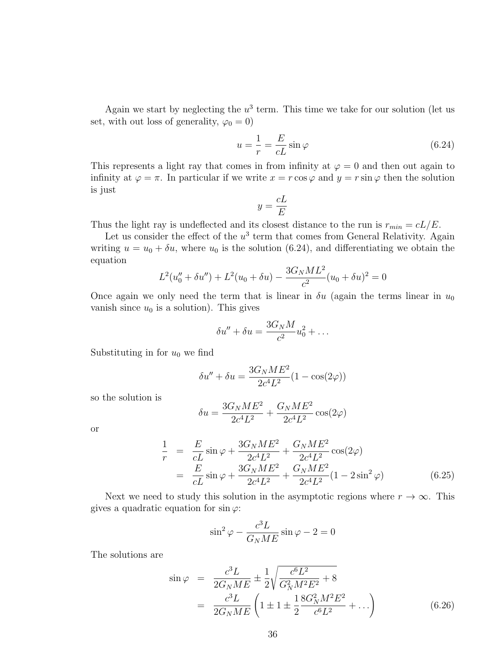Again we start by neglecting the  $u^3$  term. This time we take for our solution (let us set, with out loss of generality,  $\varphi_0 = 0$ )

$$
u = \frac{1}{r} = \frac{E}{cL} \sin \varphi \tag{6.24}
$$

This represents a light ray that comes in from infinity at  $\varphi = 0$  and then out again to infinity at  $\varphi = \pi$ . In particular if we write  $x = r \cos \varphi$  and  $y = r \sin \varphi$  then the solution is just

$$
y = \frac{cL}{E}
$$

Thus the light ray is undeflected and its closest distance to the run is  $r_{min} = cL/E$ .

Let us consider the effect of the  $u^3$  term that comes from General Relativity. Again writing  $u = u_0 + \delta u$ , where  $u_0$  is the solution (6.24), and differentiating we obtain the equation

$$
L^{2}(u''_{0} + \delta u'') + L^{2}(u_{0} + \delta u) - \frac{3G_{N}ML^{2}}{c^{2}}(u_{0} + \delta u)^{2} = 0
$$

Once again we only need the term that is linear in  $\delta u$  (again the terms linear in  $u_0$ vanish since  $u_0$  is a solution). This gives

$$
\delta u'' + \delta u = \frac{3G_N M}{c^2} u_0^2 + \dots
$$

Substituting in for  $u_0$  we find

$$
\delta u'' + \delta u = \frac{3G_N M E^2}{2c^4 L^2} (1 - \cos(2\varphi))
$$

so the solution is

$$
\delta u = \frac{3 G_N M E^2}{2 c^4 L^2} + \frac{G_N M E^2}{2 c^4 L^2} \cos(2\varphi)
$$

or

$$
\frac{1}{r} = \frac{E}{cL} \sin \varphi + \frac{3G_N M E^2}{2c^4 L^2} + \frac{G_N M E^2}{2c^4 L^2} \cos(2\varphi)
$$
  
= 
$$
\frac{E}{cL} \sin \varphi + \frac{3G_N M E^2}{2c^4 L^2} + \frac{G_N M E^2}{2c^4 L^2} (1 - 2 \sin^2 \varphi)
$$
(6.25)

Next we need to study this solution in the asymptotic regions where  $r \to \infty$ . This gives a quadratic equation for  $\sin \varphi$ :

$$
\sin^2 \varphi - \frac{c^3 L}{G_N M E} \sin \varphi - 2 = 0
$$

The solutions are

$$
\sin \varphi = \frac{c^3 L}{2G_N M E} \pm \frac{1}{2} \sqrt{\frac{c^6 L^2}{G_N^2 M^2 E^2} + 8}
$$

$$
= \frac{c^3 L}{2G_N M E} \left(1 \pm 1 \pm \frac{18G_N^2 M^2 E^2}{c^6 L^2} + \ldots\right) \tag{6.26}
$$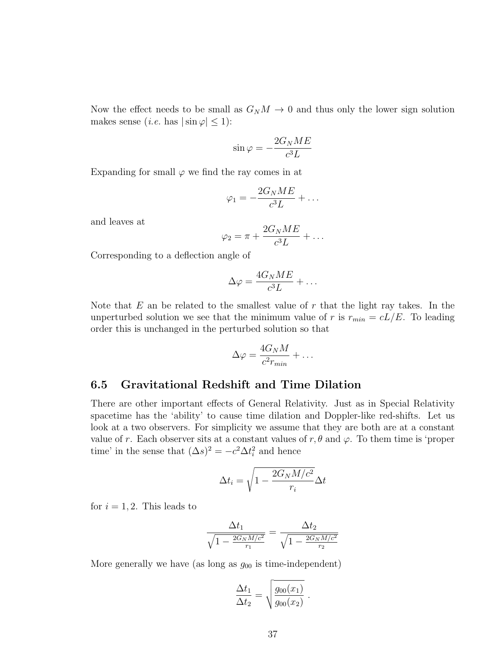Now the effect needs to be small as  $G_N M \to 0$  and thus only the lower sign solution makes sense (*i.e.* has  $|\sin \varphi| \leq 1$ ):

$$
\sin \varphi = -\frac{2G_N M E}{c^3 L}
$$

Expanding for small  $\varphi$  we find the ray comes in at

$$
\varphi_1 = -\frac{2G_NME}{c^3L} + \dots
$$

and leaves at

$$
\varphi_2 = \pi + \frac{2G_N M E}{c^3 L} + \dots
$$

Corresponding to a deflection angle of

$$
\Delta \varphi = \frac{4G_N M E}{c^3 L} + \dots
$$

Note that  $E$  an be related to the smallest value of  $r$  that the light ray takes. In the unperturbed solution we see that the minimum value of r is  $r_{min} = cL/E$ . To leading order this is unchanged in the perturbed solution so that

$$
\Delta \varphi = \frac{4G_N M}{c^2 r_{min}} + \dots
$$

 $\cdot$  .

#### 6.5 Gravitational Redshift and Time Dilation

There are other important effects of General Relativity. Just as in Special Relativity spacetime has the 'ability' to cause time dilation and Doppler-like red-shifts. Let us look at a two observers. For simplicity we assume that they are both are at a constant value of r. Each observer sits at a constant values of r,  $\theta$  and  $\varphi$ . To them time is 'proper time' in the sense that  $(\Delta s)^2 = -c^2 \Delta t_i^2$  and hence

$$
\Delta t_i = \sqrt{1 - \frac{2G_N M/c^2}{r_i}} \Delta t
$$

for  $i = 1, 2$ . This leads to

$$
\frac{\Delta t_1}{\sqrt{1 - \frac{2G_N M/c^2}{r_1}}} = \frac{\Delta t_2}{\sqrt{1 - \frac{2G_N M/c^2}{r_2}}}
$$

More generally we have (as long as  $g_{00}$  is time-independent)

$$
\frac{\Delta t_1}{\Delta t_2} = \sqrt{\frac{g_{00}(x_1)}{g_{00}(x_2)}}.
$$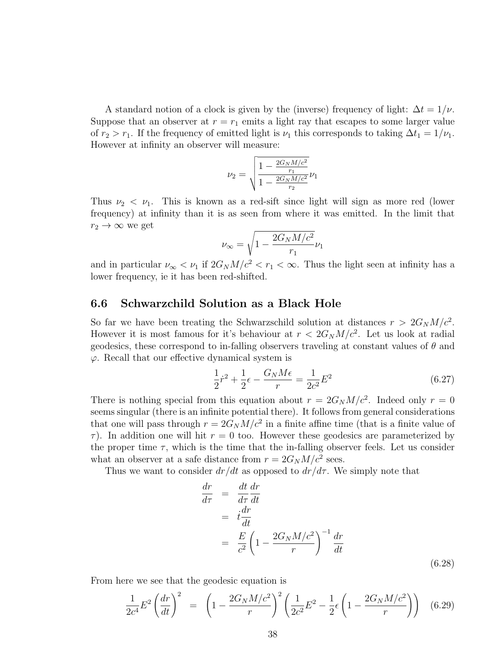A standard notion of a clock is given by the (inverse) frequency of light:  $\Delta t = 1/\nu$ . Suppose that an observer at  $r = r_1$  emits a light ray that escapes to some larger value of  $r_2 > r_1$ . If the frequency of emitted light is  $\nu_1$  this corresponds to taking  $\Delta t_1 = 1/\nu_1$ . However at infinity an observer will measure:

$$
\nu_2 = \sqrt{\frac{1 - \frac{2 G_N M/c^2}{r_1}}{1 - \frac{2 G_N M/c^2}{r_2}}} \nu_1
$$

Thus  $\nu_2 < \nu_1$ . This is known as a red-sift since light will sign as more red (lower frequency) at infinity than it is as seen from where it was emitted. In the limit that  $r_2 \rightarrow \infty$  we get

$$
\nu_\infty = \sqrt{1-\frac{2G_NM/c^2}{r_1}}\nu_1
$$

and in particular  $\nu_{\infty} < \nu_1$  if  $2G_N M/c^2 < r_1 < \infty$ . Thus the light seen at infinity has a lower frequency, ie it has been red-shifted.

#### 6.6 Schwarzchild Solution as a Black Hole

So far we have been treating the Schwarzschild solution at distances  $r > 2G_N M/c^2$ . However it is most famous for it's behaviour at  $r < 2G_N M/c^2$ . Let us look at radial geodesics, these correspond to in-falling observers traveling at constant values of  $\theta$  and  $\varphi$ . Recall that our effective dynamical system is

$$
\frac{1}{2}\dot{r}^2 + \frac{1}{2}\epsilon - \frac{G_N M \epsilon}{r} = \frac{1}{2c^2}E^2
$$
 (6.27)

There is nothing special from this equation about  $r = 2G_N M/c^2$ . Indeed only  $r = 0$ seems singular (there is an infinite potential there). It follows from general considerations that one will pass through  $r = 2G_N M/c^2$  in a finite affine time (that is a finite value of  $\tau$ ). In addition one will hit  $r = 0$  too. However these geodesics are parameterized by the proper time  $\tau$ , which is the time that the in-falling observer feels. Let us consider what an observer at a safe distance from  $r = 2G_N M/c^2$  sees.

Thus we want to consider  $dr/dt$  as opposed to  $dr/d\tau$ . We simply note that

$$
\frac{dr}{d\tau} = \frac{dt}{d\tau}\frac{dr}{dt}
$$
\n
$$
= \frac{t}{c^2}\left(1 - \frac{2G_N M/c^2}{r}\right)^{-1}\frac{dr}{dt}
$$
\n
$$
(6.28)
$$

From here we see that the geodesic equation is

$$
\frac{1}{2c^4}E^2 \left(\frac{dr}{dt}\right)^2 = \left(1 - \frac{2G_N M/c^2}{r}\right)^2 \left(\frac{1}{2c^2}E^2 - \frac{1}{2}\epsilon \left(1 - \frac{2G_N M/c^2}{r}\right)\right) \tag{6.29}
$$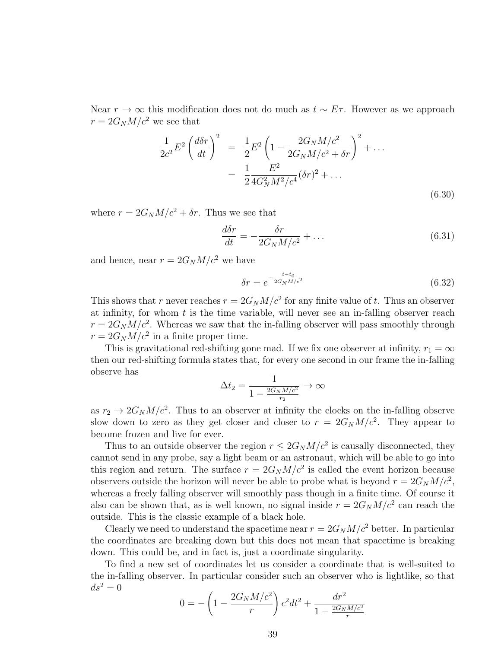Near  $r \to \infty$  this modification does not do much as  $t \sim E\tau$ . However as we approach  $r = 2G_N M/c^2$  we see that

$$
\frac{1}{2c^2}E^2 \left(\frac{d\delta r}{dt}\right)^2 = \frac{1}{2}E^2 \left(1 - \frac{2G_N M/c^2}{2G_N M/c^2 + \delta r}\right)^2 + \dots
$$

$$
= \frac{1}{2} \frac{E^2}{4G_N^2 M^2/c^4} (\delta r)^2 + \dots
$$
(6.30)

where  $r = 2G_N M/c^2 + \delta r$ . Thus we see that

$$
\frac{d\delta r}{dt} = -\frac{\delta r}{2G_N M/c^2} + \dots \tag{6.31}
$$

and hence, near  $r = 2G_N M/c^2$  we have

$$
\delta r = e^{-\frac{t - t_0}{2G_N M/c^2}}
$$
(6.32)

This shows that r never reaches  $r = 2G_N M/c^2$  for any finite value of t. Thus an observer at infinity, for whom  $t$  is the time variable, will never see an in-falling observer reach  $r = 2G_N M/c^2$ . Whereas we saw that the in-falling observer will pass smoothly through  $r = 2G_N M/c^2$  in a finite proper time.

This is gravitational red-shifting gone mad. If we fix one observer at infinity,  $r_1 = \infty$ then our red-shifting formula states that, for every one second in our frame the in-falling observe has

$$
\Delta t_2 = \frac{1}{1 - \frac{2G_N M/c^2}{r_2}} \to \infty
$$

as  $r_2 \to 2G_N M/c^2$ . Thus to an observer at infinity the clocks on the in-falling observe slow down to zero as they get closer and closer to  $r = 2G_N M/c^2$ . They appear to become frozen and live for ever.

Thus to an outside observer the region  $r \leq 2G_N M/c^2$  is causally disconnected, they cannot send in any probe, say a light beam or an astronaut, which will be able to go into this region and return. The surface  $r = 2G_N M/c^2$  is called the event horizon because observers outside the horizon will never be able to probe what is beyond  $r = 2G_N M/c^2$ , whereas a freely falling observer will smoothly pass though in a finite time. Of course it also can be shown that, as is well known, no signal inside  $r = 2G_N M/c^2$  can reach the outside. This is the classic example of a black hole.

Clearly we need to understand the spacetime near  $r = 2G_N M/c^2$  better. In particular the coordinates are breaking down but this does not mean that spacetime is breaking down. This could be, and in fact is, just a coordinate singularity.

To find a new set of coordinates let us consider a coordinate that is well-suited to the in-falling observer. In particular consider such an observer who is lightlike, so that  $ds^2=0$ 

$$
0 = -\left(1 - \frac{2G_N M/c^2}{r}\right)c^2 dt^2 + \frac{dr^2}{1 - \frac{2G_N M/c^2}{r}}
$$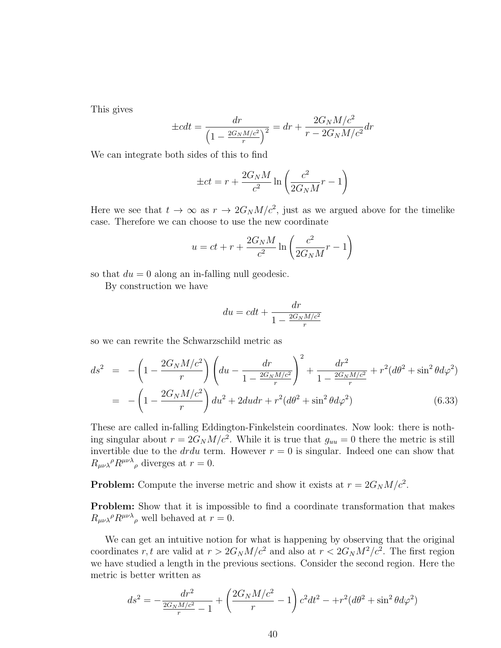This gives

$$
\pm cdt = \frac{dr}{\left(1 - \frac{2G_N M/c^2}{r}\right)^2} = dr + \frac{2G_N M/c^2}{r - 2G_N M/c^2} dr
$$

We can integrate both sides of this to find

$$
\pm ct = r + \frac{2G_N M}{c^2} \ln\left(\frac{c^2}{2G_N M}r - 1\right)
$$

Here we see that  $t \to \infty$  as  $r \to 2G_N M/c^2$ , just as we argued above for the timelike case. Therefore we can choose to use the new coordinate

$$
u = ct + r + \frac{2G_N M}{c^2} \ln\left(\frac{c^2}{2G_N M}r - 1\right)
$$

so that  $du = 0$  along an in-falling null geodesic.

By construction we have

$$
du = cdt + \frac{dr}{1 - \frac{2G_N M/c^2}{r}}
$$

so we can rewrite the Schwarzschild metric as

$$
ds^{2} = -\left(1 - \frac{2G_{N}M/c^{2}}{r}\right)\left(du - \frac{dr}{1 - \frac{2G_{N}M/c^{2}}{r}}\right)^{2} + \frac{dr^{2}}{1 - \frac{2G_{N}M/c^{2}}{r}} + r^{2}(d\theta^{2} + \sin^{2}\theta d\varphi^{2})
$$
  
= 
$$
-\left(1 - \frac{2G_{N}M/c^{2}}{r}\right)du^{2} + 2du dr + r^{2}(d\theta^{2} + \sin^{2}\theta d\varphi^{2})
$$
(6.33)

These are called in-falling Eddington-Finkelstein coordinates. Now look: there is nothing singular about  $r = 2G_N M/c^2$ . While it is true that  $g_{uu} = 0$  there the metric is still invertible due to the *drdu* term. However  $r = 0$  is singular. Indeed one can show that  $R_{\mu\nu\lambda}{}^{\rho}R^{\mu\nu\lambda}{}_{\rho}$  diverges at  $r=0$ .

**Problem:** Compute the inverse metric and show it exists at  $r = 2G_N M/c^2$ .

Problem: Show that it is impossible to find a coordinate transformation that makes  $R_{\mu\nu\lambda}{}^{\rho}R^{\mu\nu\lambda}{}_{\rho}$  well behaved at  $r=0$ .

We can get an intuitive notion for what is happening by observing that the original coordinates r, t are valid at  $r > 2G_N M/c^2$  and also at  $r < 2G_N M^2/c^2$ . The first region we have studied a length in the previous sections. Consider the second region. Here the metric is better written as

$$
ds^{2} = -\frac{dr^{2}}{\frac{2G_{N}M/c^{2}}{r} - 1} + \left(\frac{2G_{N}M/c^{2}}{r} - 1\right)c^{2}dt^{2} - r^{2}(d\theta^{2} + \sin^{2}\theta d\varphi^{2})
$$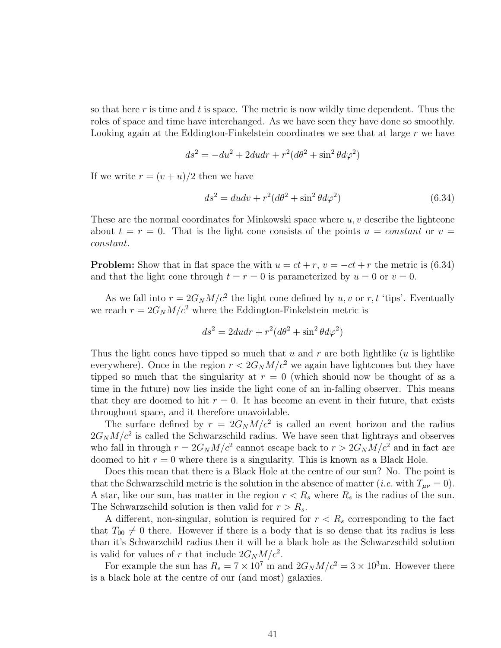so that here r is time and t is space. The metric is now wildly time dependent. Thus the roles of space and time have interchanged. As we have seen they have done so smoothly. Looking again at the Eddington-Finkelstein coordinates we see that at large r we have

$$
ds^{2} = -du^{2} + 2du dr + r^{2}(d\theta^{2} + \sin^{2}\theta d\varphi^{2})
$$

If we write  $r = (v + u)/2$  then we have

$$
ds^2 = du dv + r^2 (d\theta^2 + \sin^2 \theta d\varphi^2)
$$
\n(6.34)

These are the normal coordinates for Minkowski space where  $u, v$  describe the lightcone about  $t = r = 0$ . That is the light cone consists of the points  $u = constant$  or  $v =$ constant.

**Problem:** Show that in flat space the with  $u = ct + r$ ,  $v = -ct + r$  the metric is (6.34) and that the light cone through  $t = r = 0$  is parameterized by  $u = 0$  or  $v = 0$ .

As we fall into  $r = 2G_N M/c^2$  the light cone defined by u, v or r, t 'tips'. Eventually we reach  $r = 2G_N M/c^2$  where the Eddington-Finkelstein metric is

$$
ds^2 = 2du dr + r^2(d\theta^2 + \sin^2 \theta d\varphi^2)
$$

Thus the light cones have tipped so much that  $u$  and  $r$  are both lightlike  $(u$  is lightlike everywhere). Once in the region  $r < 2G_N M/c^2$  we again have lightcones but they have tipped so much that the singularity at  $r = 0$  (which should now be thought of as a time in the future) now lies inside the light cone of an in-falling observer. This means that they are doomed to hit  $r = 0$ . It has become an event in their future, that exists throughout space, and it therefore unavoidable.

The surface defined by  $r = 2G_N M/c^2$  is called an event horizon and the radius  $2G_N M/c^2$  is called the Schwarzschild radius. We have seen that lightrays and observes who fall in through  $r = 2G_N M/c^2$  cannot escape back to  $r > 2G_N M/c^2$  and in fact are doomed to hit  $r = 0$  where there is a singularity. This is known as a Black Hole.

Does this mean that there is a Black Hole at the centre of our sun? No. The point is that the Schwarzschild metric is the solution in the absence of matter (*i.e.* with  $T_{\mu\nu} = 0$ ). A star, like our sun, has matter in the region  $r < R_s$  where  $R_s$  is the radius of the sun. The Schwarzschild solution is then valid for  $r > R_s$ .

A different, non-singular, solution is required for  $r < R_s$  corresponding to the fact that  $T_{00} \neq 0$  there. However if there is a body that is so dense that its radius is less than it's Schwarzchild radius then it will be a black hole as the Schwarzschild solution is valid for values of r that include  $2G_N M/c^2$ .

For example the sun has  $R_s = 7 \times 10^7$  m and  $2G_N M/c^2 = 3 \times 10^3$ m. However there is a black hole at the centre of our (and most) galaxies.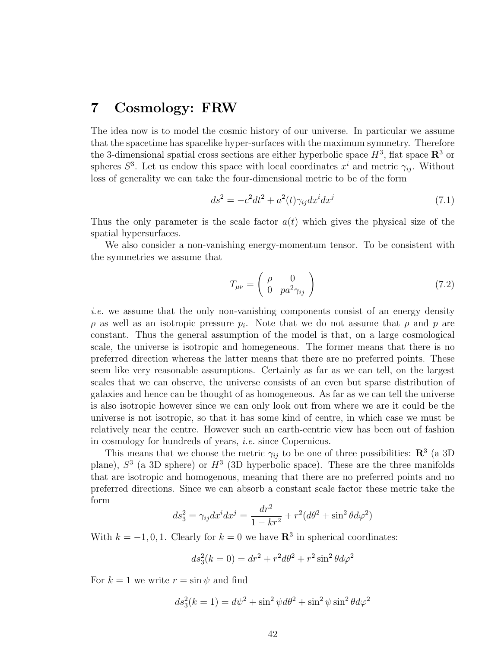### 7 Cosmology: FRW

The idea now is to model the cosmic history of our universe. In particular we assume that the spacetime has spacelike hyper-surfaces with the maximum symmetry. Therefore the 3-dimensional spatial cross sections are either hyperbolic space  $H^3$ , flat space  $\mathbb{R}^3$  or spheres  $S^3$ . Let us endow this space with local coordinates  $x^i$  and metric  $\gamma_{ij}$ . Without loss of generality we can take the four-dimensional metric to be of the form

$$
ds^2 = -c^2 dt^2 + a^2(t)\gamma_{ij} dx^i dx^j \tag{7.1}
$$

Thus the only parameter is the scale factor  $a(t)$  which gives the physical size of the spatial hypersurfaces.

We also consider a non-vanishing energy-momentum tensor. To be consistent with the symmetries we assume that

$$
T_{\mu\nu} = \begin{pmatrix} \rho & 0\\ 0 & pa^2 \gamma_{ij} \end{pmatrix} \tag{7.2}
$$

i.e. we assume that the only non-vanishing components consist of an energy density  $\rho$  as well as an isotropic pressure  $p_i$ . Note that we do not assume that  $\rho$  and  $p$  are constant. Thus the general assumption of the model is that, on a large cosmological scale, the universe is isotropic and homegeneous. The former means that there is no preferred direction whereas the latter means that there are no preferred points. These seem like very reasonable assumptions. Certainly as far as we can tell, on the largest scales that we can observe, the universe consists of an even but sparse distribution of galaxies and hence can be thought of as homogeneous. As far as we can tell the universe is also isotropic however since we can only look out from where we are it could be the universe is not isotropic, so that it has some kind of centre, in which case we must be relatively near the centre. However such an earth-centric view has been out of fashion in cosmology for hundreds of years, i.e. since Copernicus.

This means that we choose the metric  $\gamma_{ij}$  to be one of three possibilities:  $\mathbb{R}^3$  (a 3D) plane),  $S<sup>3</sup>$  (a 3D sphere) or  $H<sup>3</sup>$  (3D hyperbolic space). These are the three manifolds that are isotropic and homogenous, meaning that there are no preferred points and no preferred directions. Since we can absorb a constant scale factor these metric take the form

$$
ds_3^2 = \gamma_{ij} dx^i dx^j = \frac{dr^2}{1 - kr^2} + r^2 (d\theta^2 + \sin^2 \theta d\varphi^2)
$$

With  $k = -1, 0, 1$ . Clearly for  $k = 0$  we have  $\mathbb{R}^3$  in spherical coordinates:

$$
ds_3^2(k=0) = dr^2 + r^2 d\theta^2 + r^2 \sin^2 \theta d\varphi^2
$$

For  $k = 1$  we write  $r = \sin \psi$  and find

$$
ds_3^2(k=1) = d\psi^2 + \sin^2\psi d\theta^2 + \sin^2\psi \sin^2\theta d\varphi^2
$$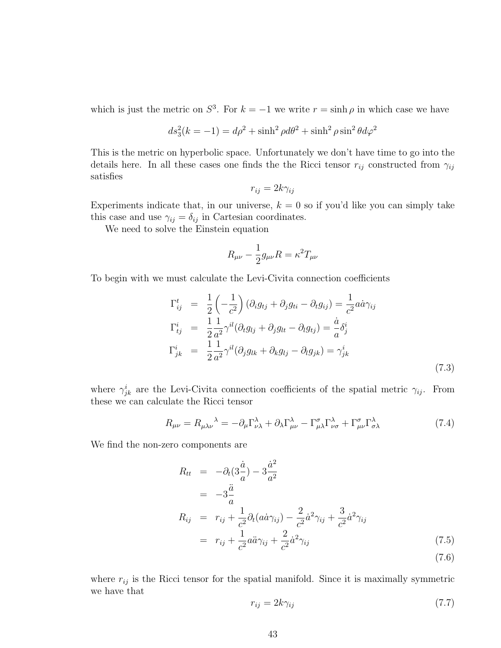which is just the metric on  $S^3$ . For  $k = -1$  we write  $r = \sinh \rho$  in which case we have

$$
ds_3^2(k=-1)=d\rho^2+\sinh^2\rho d\theta^2+\sinh^2\rho\sin^2\theta d\varphi^2
$$

This is the metric on hyperbolic space. Unfortunately we don't have time to go into the details here. In all these cases one finds the the Ricci tensor  $r_{ij}$  constructed from  $\gamma_{ij}$ satisfies

$$
r_{ij} = 2k\gamma_{ij}
$$

Experiments indicate that, in our universe,  $k = 0$  so if you'd like you can simply take this case and use  $\gamma_{ij} = \delta_{ij}$  in Cartesian coordinates.

We need to solve the Einstein equation

$$
R_{\mu\nu}-\frac{1}{2}g_{\mu\nu}R=\kappa^2T_{\mu\nu}
$$

To begin with we must calculate the Levi-Civita connection coefficients

$$
\Gamma_{ij}^t = \frac{1}{2} \left( -\frac{1}{c^2} \right) \left( \partial_i g_{tj} + \partial_j g_{ti} - \partial_t g_{ij} \right) = \frac{1}{c^2} a \dot{a} \gamma_{ij}
$$
\n
$$
\Gamma_{tj}^i = \frac{1}{2} \frac{1}{a^2} \gamma^{il} \left( \partial_t g_{lj} + \partial_j g_{lt} - \partial_l g_{tj} \right) = \frac{\dot{a}}{a} \delta_j^i
$$
\n
$$
\Gamma_{jk}^i = \frac{1}{2} \frac{1}{a^2} \gamma^{il} \left( \partial_j g_{lk} + \partial_k g_{lj} - \partial_l g_{jk} \right) = \gamma_{jk}^i
$$
\n(7.3)

where  $\gamma_{jk}^i$  are the Levi-Civita connection coefficients of the spatial metric  $\gamma_{ij}$ . From these we can calculate the Ricci tensor

$$
R_{\mu\nu} = R_{\mu\lambda\nu}{}^{\lambda} = -\partial_{\mu}\Gamma^{\lambda}_{\nu\lambda} + \partial_{\lambda}\Gamma^{\lambda}_{\mu\nu} - \Gamma^{\sigma}_{\mu\lambda}\Gamma^{\lambda}_{\nu\sigma} + \Gamma^{\sigma}_{\mu\nu}\Gamma^{\lambda}_{\sigma\lambda}
$$
(7.4)

We find the non-zero components are

$$
R_{tt} = -\partial_t(3\frac{\dot{a}}{a}) - 3\frac{\dot{a}^2}{a^2}
$$
  
\n
$$
= -3\frac{\ddot{a}}{a}
$$
  
\n
$$
R_{ij} = r_{ij} + \frac{1}{c^2}\partial_t(a\dot{a}\gamma_{ij}) - \frac{2}{c^2}\dot{a}^2\gamma_{ij} + \frac{3}{c^2}\dot{a}^2\gamma_{ij}
$$
  
\n
$$
= r_{ij} + \frac{1}{c^2}a\ddot{a}\gamma_{ij} + \frac{2}{c^2}\dot{a}^2\gamma_{ij}
$$
\n(7.5)

(7.6)

where  $r_{ij}$  is the Ricci tensor for the spatial manifold. Since it is maximally symmetric we have that

$$
r_{ij} = 2k\gamma_{ij} \tag{7.7}
$$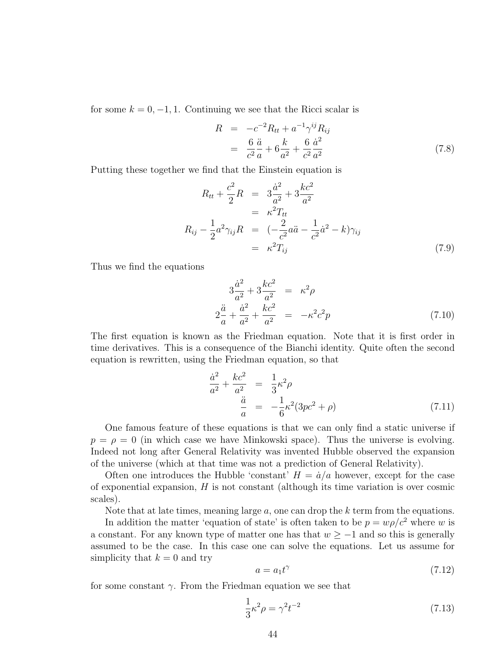for some  $k = 0, -1, 1$ . Continuing we see that the Ricci scalar is

$$
R = -c^{-2}R_{tt} + a^{-1}\gamma^{ij}R_{ij}
$$
  
= 
$$
\frac{6}{c^2}\frac{\ddot{a}}{a} + 6\frac{k}{a^2} + \frac{6}{c^2}\frac{\dot{a}^2}{a^2}
$$
 (7.8)

Putting these together we find that the Einstein equation is

$$
R_{tt} + \frac{c^2}{2}R = 3\frac{\dot{a}^2}{a^2} + 3\frac{kc^2}{a^2}
$$
  
=  $\kappa^2 T_{tt}$   

$$
R_{ij} - \frac{1}{2}a^2 \gamma_{ij}R = \left(-\frac{2}{c^2}a\ddot{a} - \frac{1}{c^2}\dot{a}^2 - k\right)\gamma_{ij}
$$
  
=  $\kappa^2 T_{ij}$  (7.9)

Thus we find the equations

$$
3\frac{\dot{a}^{2}}{a^{2}} + 3\frac{kc^{2}}{a^{2}} = \kappa^{2}\rho
$$
  

$$
2\frac{\ddot{a}}{a} + \frac{\dot{a}^{2}}{a^{2}} + \frac{kc^{2}}{a^{2}} = -\kappa^{2}c^{2}p
$$
 (7.10)

The first equation is known as the Friedman equation. Note that it is first order in time derivatives. This is a consequence of the Bianchi identity. Quite often the second equation is rewritten, using the Friedman equation, so that

$$
\frac{\dot{a}^2}{a^2} + \frac{kc^2}{a^2} = \frac{1}{3}\kappa^2 \rho
$$
  
\n
$$
\frac{\ddot{a}}{a} = -\frac{1}{6}\kappa^2 (3pc^2 + \rho)
$$
\n(7.11)

One famous feature of these equations is that we can only find a static universe if  $p = \rho = 0$  (in which case we have Minkowski space). Thus the universe is evolving. Indeed not long after General Relativity was invented Hubble observed the expansion of the universe (which at that time was not a prediction of General Relativity).

Often one introduces the Hubble 'constant'  $H = \dot{a}/a$  however, except for the case of exponential expansion,  $H$  is not constant (although its time variation is over cosmic scales).

Note that at late times, meaning large  $a$ , one can drop the  $k$  term from the equations.

In addition the matter 'equation of state' is often taken to be  $p = w\rho/c^2$  where w is a constant. For any known type of matter one has that  $w \ge -1$  and so this is generally assumed to be the case. In this case one can solve the equations. Let us assume for simplicity that  $k = 0$  and try

$$
a = a_1 t^{\gamma} \tag{7.12}
$$

for some constant  $\gamma$ . From the Friedman equation we see that

$$
\frac{1}{3}\kappa^2 \rho = \gamma^2 t^{-2}
$$
 (7.13)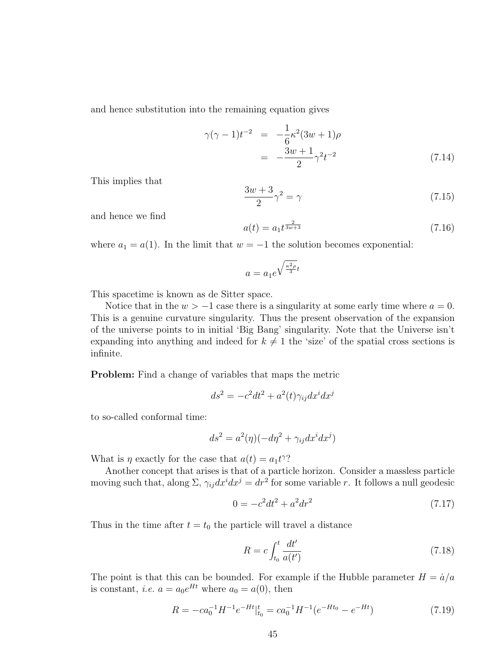and hence substitution into the remaining equation gives

$$
\gamma(\gamma - 1)t^{-2} = -\frac{1}{6}\kappa^2(3w + 1)\rho
$$
  
= 
$$
-\frac{3w + 1}{2}\gamma^2 t^{-2}
$$
 (7.14)

This implies that

$$
\frac{3w+3}{2}\gamma^2 = \gamma\tag{7.15}
$$

and hence we find

$$
a(t) = a_1 t^{\frac{2}{3w+3}} \tag{7.16}
$$

where  $a_1 = a(1)$ . In the limit that  $w = -1$  the solution becomes exponential:

$$
a = a_1 e^{\sqrt{\frac{\kappa^2 \rho}{3}}t}
$$

This spacetime is known as de Sitter space.

Notice that in the  $w > -1$  case there is a singularity at some early time where  $a = 0$ . This is a genuine curvature singularity. Thus the present observation of the expansion of the universe points to in initial 'Big Bang' singularity. Note that the Universe isn't expanding into anything and indeed for  $k \neq 1$  the 'size' of the spatial cross sections is infinite.

Problem: Find a change of variables that maps the metric

$$
ds^2 = -c^2 dt^2 + a^2(t)\gamma_{ij} dx^i dx^j
$$

to so-called conformal time:

$$
ds^2 = a^2(\eta)(-d\eta^2 + \gamma_{ij}dx^idx^j)
$$

What is  $\eta$  exactly for the case that  $a(t) = a_1 t^{\gamma}$ ?

Another concept that arises is that of a particle horizon. Consider a massless particle moving such that, along  $\Sigma$ ,  $\gamma_{ij}dx^idx^j = dr^2$  for some variable r. It follows a null geodesic

$$
0 = -c^2 dt^2 + a^2 dr^2 \tag{7.17}
$$

Thus in the time after  $t = t_0$  the particle will travel a distance

$$
R = c \int_{t_0}^t \frac{dt'}{a(t')}
$$
\n(7.18)

The point is that this can be bounded. For example if the Hubble parameter  $H = \dot{a}/a$ is constant, *i.e.*  $a = a_0 e^{Ht}$  where  $a_0 = a(0)$ , then

$$
R = -ca_0^{-1}H^{-1}e^{-Ht}|_{t_0}^t = ca_0^{-1}H^{-1}(e^{-Ht_0} - e^{-Ht})
$$
\n(7.19)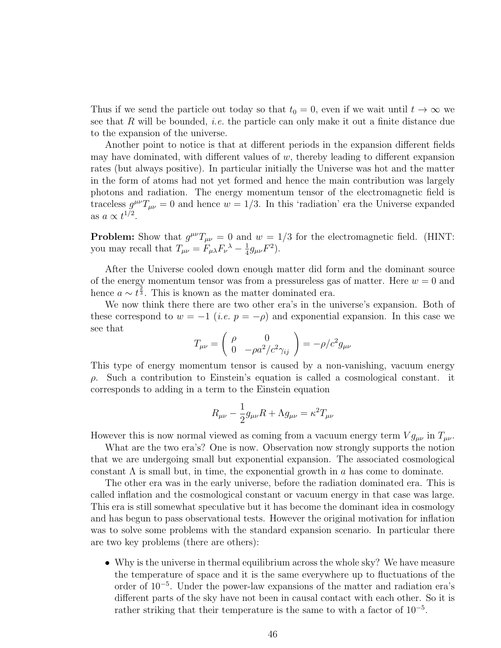Thus if we send the particle out today so that  $t_0 = 0$ , even if we wait until  $t \to \infty$  we see that  $R$  will be bounded, *i.e.* the particle can only make it out a finite distance due to the expansion of the universe.

Another point to notice is that at different periods in the expansion different fields may have dominated, with different values of  $w$ , thereby leading to different expansion rates (but always positive). In particular initially the Universe was hot and the matter in the form of atoms had not yet formed and hence the main contribution was largely photons and radiation. The energy momentum tensor of the electromagnetic field is traceless  $g^{\mu\nu}T_{\mu\nu} = 0$  and hence  $w = 1/3$ . In this 'radiation' era the Universe expanded as  $a \propto t^{1/2}$ .

**Problem:** Show that  $g^{\mu\nu}T_{\mu\nu} = 0$  and  $w = 1/3$  for the electromagnetic field. (HINT: you may recall that  $T_{\mu\nu} = F_{\mu\lambda} F_{\nu}{}^{\lambda} - \frac{1}{4}$  $\frac{1}{4}g_{\mu\nu}F^2$ .

After the Universe cooled down enough matter did form and the dominant source of the energy momentum tensor was from a pressureless gas of matter. Here  $w = 0$  and hence  $a \sim t^{\frac{2}{3}}$ . This is known as the matter dominated era.

We now think there there are two other era's in the universe's expansion. Both of these correspond to  $w = -1$  (*i.e.*  $p = -\rho$ ) and exponential expansion. In this case we see that

$$
T_{\mu\nu} = \begin{pmatrix} \rho & 0\\ 0 & -\rho a^2/c^2 \gamma_{ij} \end{pmatrix} = -\rho/c^2 g_{\mu\nu}
$$

This type of energy momentum tensor is caused by a non-vanishing, vacuum energy  $\rho$ . Such a contribution to Einstein's equation is called a cosmological constant. it corresponds to adding in a term to the Einstein equation

$$
R_{\mu\nu} - \frac{1}{2}g_{\mu\nu}R + \Lambda g_{\mu\nu} = \kappa^2 T_{\mu\nu}
$$

However this is now normal viewed as coming from a vacuum energy term  $V g_{\mu\nu}$  in  $T_{\mu\nu}$ .

What are the two era's? One is now. Observation now strongly supports the notion that we are undergoing small but exponential expansion. The associated cosmological constant  $\Lambda$  is small but, in time, the exponential growth in a has come to dominate.

The other era was in the early universe, before the radiation dominated era. This is called inflation and the cosmological constant or vacuum energy in that case was large. This era is still somewhat speculative but it has become the dominant idea in cosmology and has begun to pass observational tests. However the original motivation for inflation was to solve some problems with the standard expansion scenario. In particular there are two key problems (there are others):

• Why is the universe in thermal equilibrium across the whole sky? We have measure the temperature of space and it is the same everywhere up to fluctuations of the order of 10<sup>−</sup><sup>5</sup> . Under the power-law expansions of the matter and radiation era's different parts of the sky have not been in causal contact with each other. So it is rather striking that their temperature is the same to with a factor of 10<sup>−</sup><sup>5</sup> .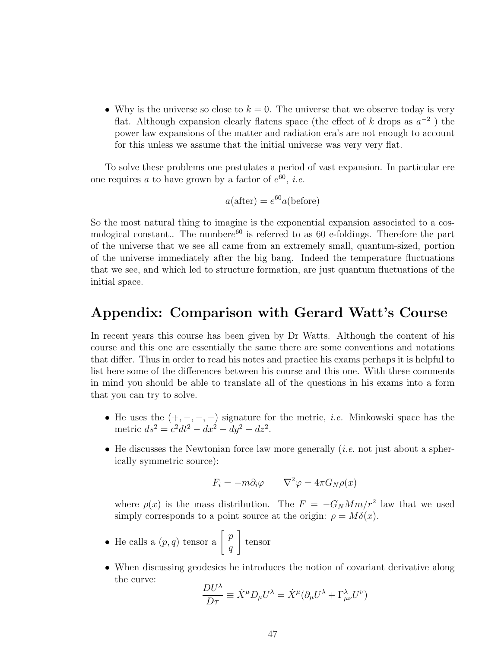• Why is the universe so close to  $k = 0$ . The universe that we observe today is very flat. Although expansion clearly flatens space (the effect of k drops as  $a^{-2}$ ) the power law expansions of the matter and radiation era's are not enough to account for this unless we assume that the initial universe was very very flat.

To solve these problems one postulates a period of vast expansion. In particular ere one requires a to have grown by a factor of  $e^{60}$ , *i.e.* 

$$
a(\text{after}) = e^{60}a(\text{before})
$$

So the most natural thing to imagine is the exponential expansion associated to a cosmological constant.. The number $e^{60}$  is referred to as 60 e-foldings. Therefore the part of the universe that we see all came from an extremely small, quantum-sized, portion of the universe immediately after the big bang. Indeed the temperature fluctuations that we see, and which led to structure formation, are just quantum fluctuations of the initial space.

### Appendix: Comparison with Gerard Watt's Course

In recent years this course has been given by Dr Watts. Although the content of his course and this one are essentially the same there are some conventions and notations that differ. Thus in order to read his notes and practice his exams perhaps it is helpful to list here some of the differences between his course and this one. With these comments in mind you should be able to translate all of the questions in his exams into a form that you can try to solve.

- He uses the  $(+, -, -, -)$  signature for the metric, *i.e.* Minkowski space has the metric  $ds^2 = c^2 dt^2 - dx^2 - dy^2 - dz^2$ .
- He discusses the Newtonian force law more generally *(i.e.* not just about a spherically symmetric source):

$$
F_i = -m\partial_i \varphi \qquad \nabla^2 \varphi = 4\pi G_N \rho(x)
$$

where  $\rho(x)$  is the mass distribution. The  $F = -G_N M m/r^2$  law that we used simply corresponds to a point source at the origin:  $\rho = M\delta(x)$ .

- He calls a  $(p, q)$  tensor a  $\left[\begin{array}{c} p \end{array}\right]$ q 1 tensor
- When discussing geodesics he introduces the notion of covariant derivative along the curve:

$$
\frac{DU^{\lambda}}{D\tau} \equiv \dot{X}^{\mu}D_{\mu}U^{\lambda} = \dot{X}^{\mu}(\partial_{\mu}U^{\lambda} + \Gamma^{\lambda}_{\mu\nu}U^{\nu})
$$